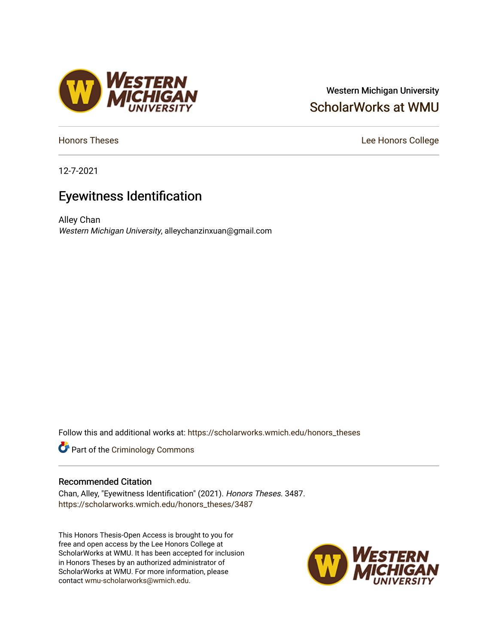## Western Michigan University [ScholarWorks at WMU](https://scholarworks.wmich.edu/)

12-7-2021

# Eyewitness Identification

Alley Chan Western Michigan University, alleychanzinxuan@gmail.com

Follow this and additional works at: [https://scholarworks.wmich.edu/honors\\_theses](https://scholarworks.wmich.edu/honors_theses?utm_source=scholarworks.wmich.edu%2Fhonors_theses%2F3487&utm_medium=PDF&utm_campaign=PDFCoverPages)



#### Recommended Citation

Chan, Alley, "Eyewitness Identification" (2021). Honors Theses. 3487. [https://scholarworks.wmich.edu/honors\\_theses/3487](https://scholarworks.wmich.edu/honors_theses/3487?utm_source=scholarworks.wmich.edu%2Fhonors_theses%2F3487&utm_medium=PDF&utm_campaign=PDFCoverPages) 

This Honors Thesis-Open Access is brought to you for free and open access by the Lee Honors College at ScholarWorks at WMU. It has been accepted for inclusion in Honors Theses by an authorized administrator of ScholarWorks at WMU. For more information, please contact [wmu-scholarworks@wmich.edu](mailto:wmu-scholarworks@wmich.edu).





[Honors Theses](https://scholarworks.wmich.edu/honors_theses) **Lee Honors** College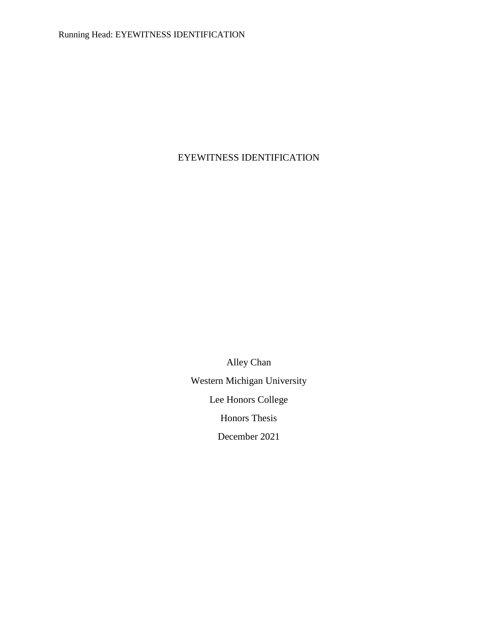## EYEWITNESS IDENTIFICATION

Alley Chan Western Michigan University Lee Honors College Honors Thesis December 2021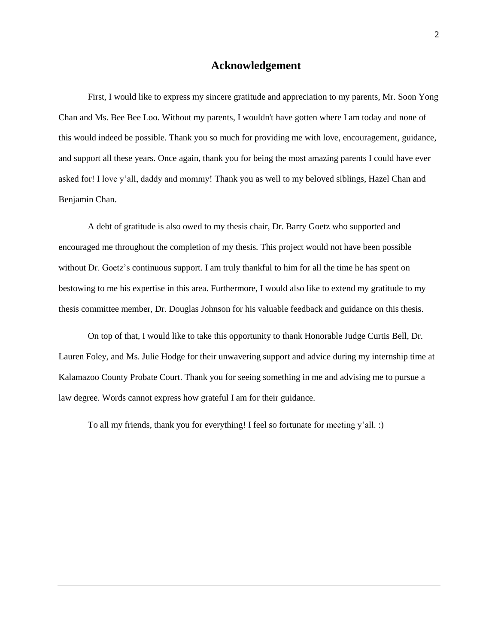#### **Acknowledgement**

First, I would like to express my sincere gratitude and appreciation to my parents, Mr. Soon Yong Chan and Ms. Bee Bee Loo. Without my parents, I wouldn't have gotten where I am today and none of this would indeed be possible. Thank you so much for providing me with love, encouragement, guidance, and support all these years. Once again, thank you for being the most amazing parents I could have ever asked for! I love y'all, daddy and mommy! Thank you as well to my beloved siblings, Hazel Chan and Benjamin Chan.

A debt of gratitude is also owed to my thesis chair, Dr. Barry Goetz who supported and encouraged me throughout the completion of my thesis. This project would not have been possible without Dr. Goetz's continuous support. I am truly thankful to him for all the time he has spent on bestowing to me his expertise in this area. Furthermore, I would also like to extend my gratitude to my thesis committee member, Dr. Douglas Johnson for his valuable feedback and guidance on this thesis.

On top of that, I would like to take this opportunity to thank Honorable Judge Curtis Bell, Dr. Lauren Foley, and Ms. Julie Hodge for their unwavering support and advice during my internship time at Kalamazoo County Probate Court. Thank you for seeing something in me and advising me to pursue a law degree. Words cannot express how grateful I am for their guidance.

To all my friends, thank you for everything! I feel so fortunate for meeting y'all. :)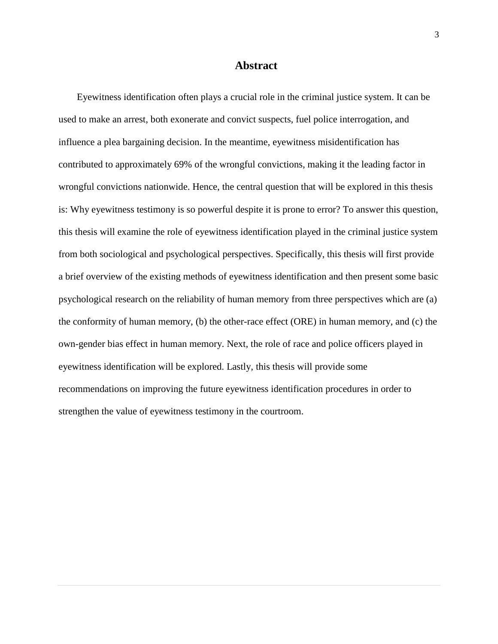#### **Abstract**

Eyewitness identification often plays a crucial role in the criminal justice system. It can be used to make an arrest, both exonerate and convict suspects, fuel police interrogation, and influence a plea bargaining decision. In the meantime, eyewitness misidentification has contributed to approximately 69% of the wrongful convictions, making it the leading factor in wrongful convictions nationwide. Hence, the central question that will be explored in this thesis is: Why eyewitness testimony is so powerful despite it is prone to error? To answer this question, this thesis will examine the role of eyewitness identification played in the criminal justice system from both sociological and psychological perspectives. Specifically, this thesis will first provide a brief overview of the existing methods of eyewitness identification and then present some basic psychological research on the reliability of human memory from three perspectives which are (a) the conformity of human memory, (b) the other-race effect (ORE) in human memory, and (c) the own-gender bias effect in human memory. Next, the role of race and police officers played in eyewitness identification will be explored. Lastly, this thesis will provide some recommendations on improving the future eyewitness identification procedures in order to strengthen the value of eyewitness testimony in the courtroom.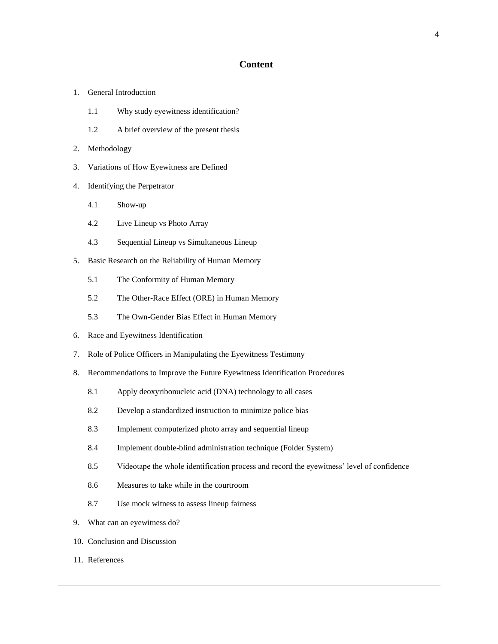#### **Content**

- 1. General Introduction
	- 1.1 Why study eyewitness identification?
	- 1.2 A brief overview of the present thesis
- 2. Methodology
- 3. Variations of How Eyewitness are Defined
- 4. Identifying the Perpetrator
	- 4.1 Show-up
	- 4.2 Live Lineup vs Photo Array
	- 4.3 Sequential Lineup vs Simultaneous Lineup
- 5. Basic Research on the Reliability of Human Memory
	- 5.1 The Conformity of Human Memory
	- 5.2 The Other-Race Effect (ORE) in Human Memory
	- 5.3 The Own-Gender Bias Effect in Human Memory
- 6. Race and Eyewitness Identification
- 7. Role of Police Officers in Manipulating the Eyewitness Testimony
- 8. Recommendations to Improve the Future Eyewitness Identification Procedures
	- 8.1 Apply deoxyribonucleic acid (DNA) technology to all cases
	- 8.2 Develop a standardized instruction to minimize police bias
	- 8.3 Implement computerized photo array and sequential lineup
	- 8.4 Implement double-blind administration technique (Folder System)
	- 8.5 Videotape the whole identification process and record the eyewitness' level of confidence
	- 8.6 Measures to take while in the courtroom
	- 8.7 Use mock witness to assess lineup fairness
- 9. What can an eyewitness do?
- 10. Conclusion and Discussion
- 11. References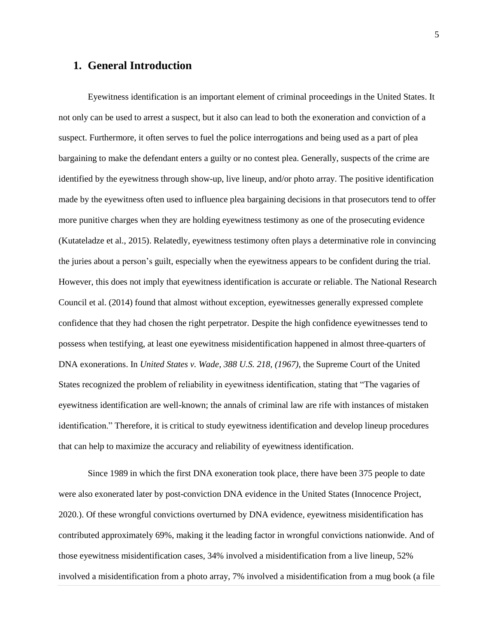#### **1. General Introduction**

Eyewitness identification is an important element of criminal proceedings in the United States. It not only can be used to arrest a suspect, but it also can lead to both the exoneration and conviction of a suspect. Furthermore, it often serves to fuel the police interrogations and being used as a part of plea bargaining to make the defendant enters a guilty or no contest plea. Generally, suspects of the crime are identified by the eyewitness through show-up, live lineup, and/or photo array. The positive identification made by the eyewitness often used to influence plea bargaining decisions in that prosecutors tend to offer more punitive charges when they are holding eyewitness testimony as one of the prosecuting evidence (Kutateladze et al., 2015). Relatedly, eyewitness testimony often plays a determinative role in convincing the juries about a person's guilt, especially when the eyewitness appears to be confident during the trial. However, this does not imply that eyewitness identification is accurate or reliable. The National Research Council et al. (2014) found that almost without exception, eyewitnesses generally expressed complete confidence that they had chosen the right perpetrator. Despite the high confidence eyewitnesses tend to possess when testifying, at least one eyewitness misidentification happened in almost three-quarters of DNA exonerations. In *United States v. Wade, 388 U.S. 218, (1967)*, the Supreme Court of the United States recognized the problem of reliability in eyewitness identification, stating that "The vagaries of eyewitness identification are well-known; the annals of criminal law are rife with instances of mistaken identification." Therefore, it is critical to study eyewitness identification and develop lineup procedures that can help to maximize the accuracy and reliability of eyewitness identification.

Since 1989 in which the first DNA exoneration took place, there have been 375 people to date were also exonerated later by post-conviction DNA evidence in the United States (Innocence Project, 2020.). Of these wrongful convictions overturned by DNA evidence, eyewitness misidentification has contributed approximately 69%, making it the leading factor in wrongful convictions nationwide. And of those eyewitness misidentification cases, 34% involved a misidentification from a live lineup, 52% involved a misidentification from a photo array, 7% involved a misidentification from a mug book (a file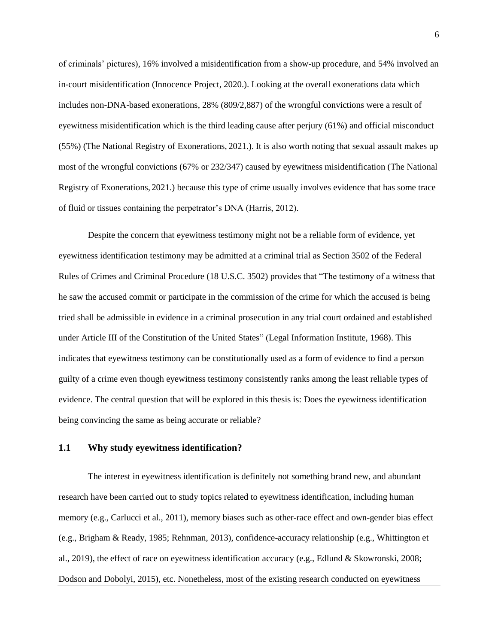of criminals' pictures), 16% involved a misidentification from a show-up procedure, and 54% involved an in-court misidentification (Innocence Project, 2020.). Looking at the overall exonerations data which includes non-DNA-based exonerations, 28% (809/2,887) of the wrongful convictions were a result of eyewitness misidentification which is the third leading cause after perjury (61%) and official misconduct (55%) (The National Registry of Exonerations, 2021.). It is also worth noting that sexual assault makes up most of the wrongful convictions (67% or 232/347) caused by eyewitness misidentification (The National Registry of Exonerations, 2021.) because this type of crime usually involves evidence that has some trace of fluid or tissues containing the perpetrator's DNA (Harris, 2012).

Despite the concern that eyewitness testimony might not be a reliable form of evidence, yet eyewitness identification testimony may be admitted at a criminal trial as Section 3502 of the Federal Rules of Crimes and Criminal Procedure (18 U.S.C. 3502) provides that "The testimony of a witness that he saw the accused commit or participate in the commission of the crime for which the accused is being tried shall be admissible in evidence in a criminal prosecution in any trial court ordained and established under Article III of the Constitution of the United States" (Legal Information Institute, 1968). This indicates that eyewitness testimony can be constitutionally used as a form of evidence to find a person guilty of a crime even though eyewitness testimony consistently ranks among the least reliable types of evidence. The central question that will be explored in this thesis is: Does the eyewitness identification being convincing the same as being accurate or reliable?

#### **1.1 Why study eyewitness identification?**

The interest in eyewitness identification is definitely not something brand new, and abundant research have been carried out to study topics related to eyewitness identification, including human memory (e.g., Carlucci et al., 2011), memory biases such as other-race effect and own-gender bias effect (e.g., Brigham & Ready, 1985; Rehnman, 2013), confidence-accuracy relationship (e.g., Whittington et al., 2019), the effect of race on eyewitness identification accuracy (e.g., Edlund & Skowronski, 2008; Dodson and Dobolyi, 2015), etc. Nonetheless, most of the existing research conducted on eyewitness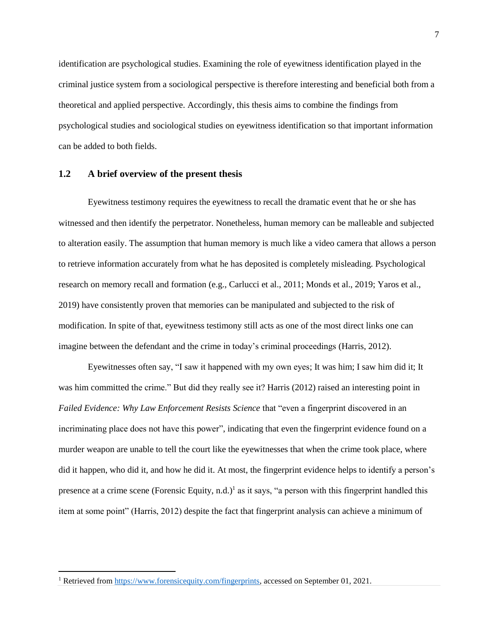identification are psychological studies. Examining the role of eyewitness identification played in the criminal justice system from a sociological perspective is therefore interesting and beneficial both from a theoretical and applied perspective. Accordingly, this thesis aims to combine the findings from psychological studies and sociological studies on eyewitness identification so that important information can be added to both fields.

#### **1.2 A brief overview of the present thesis**

Eyewitness testimony requires the eyewitness to recall the dramatic event that he or she has witnessed and then identify the perpetrator. Nonetheless, human memory can be malleable and subjected to alteration easily. The assumption that human memory is much like a video camera that allows a person to retrieve information accurately from what he has deposited is completely misleading. Psychological research on memory recall and formation (e.g., Carlucci et al., 2011; Monds et al., 2019; Yaros et al., 2019) have consistently proven that memories can be manipulated and subjected to the risk of modification. In spite of that, eyewitness testimony still acts as one of the most direct links one can imagine between the defendant and the crime in today's criminal proceedings (Harris, 2012).

Eyewitnesses often say, "I saw it happened with my own eyes; It was him; I saw him did it; It was him committed the crime." But did they really see it? Harris (2012) raised an interesting point in *Failed Evidence: Why Law Enforcement Resists Science* that "even a fingerprint discovered in an incriminating place does not have this power", indicating that even the fingerprint evidence found on a murder weapon are unable to tell the court like the eyewitnesses that when the crime took place, where did it happen, who did it, and how he did it. At most, the fingerprint evidence helps to identify a person's presence at a crime scene (Forensic Equity, n.d.)<sup>1</sup> as it says, "a person with this fingerprint handled this item at some point" (Harris, 2012) despite the fact that fingerprint analysis can achieve a minimum of

 $\overline{\phantom{a}}$ 

<sup>&</sup>lt;sup>1</sup> Retrieved from [https://www.forensicequity.com/fingerprints,](https://www.forensicequity.com/fingerprints) accessed on September 01, 2021.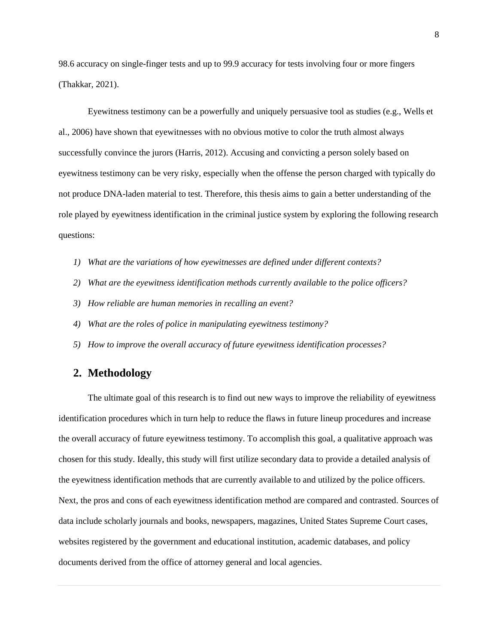98.6 accuracy on single-finger tests and up to 99.9 accuracy for tests involving four or more fingers (Thakkar, 2021).

Eyewitness testimony can be a powerfully and uniquely persuasive tool as studies (e.g., Wells et al., 2006) have shown that eyewitnesses with no obvious motive to color the truth almost always successfully convince the jurors (Harris, 2012). Accusing and convicting a person solely based on eyewitness testimony can be very risky, especially when the offense the person charged with typically do not produce DNA-laden material to test. Therefore, this thesis aims to gain a better understanding of the role played by eyewitness identification in the criminal justice system by exploring the following research questions:

- *1) What are the variations of how eyewitnesses are defined under different contexts?*
- *2) What are the eyewitness identification methods currently available to the police officers?*
- *3) How reliable are human memories in recalling an event?*
- *4) What are the roles of police in manipulating eyewitness testimony?*
- *5) How to improve the overall accuracy of future eyewitness identification processes?*

#### **2. Methodology**

The ultimate goal of this research is to find out new ways to improve the reliability of eyewitness identification procedures which in turn help to reduce the flaws in future lineup procedures and increase the overall accuracy of future eyewitness testimony. To accomplish this goal, a qualitative approach was chosen for this study. Ideally, this study will first utilize secondary data to provide a detailed analysis of the eyewitness identification methods that are currently available to and utilized by the police officers. Next, the pros and cons of each eyewitness identification method are compared and contrasted. Sources of data include scholarly journals and books, newspapers, magazines, United States Supreme Court cases, websites registered by the government and educational institution, academic databases, and policy documents derived from the office of attorney general and local agencies.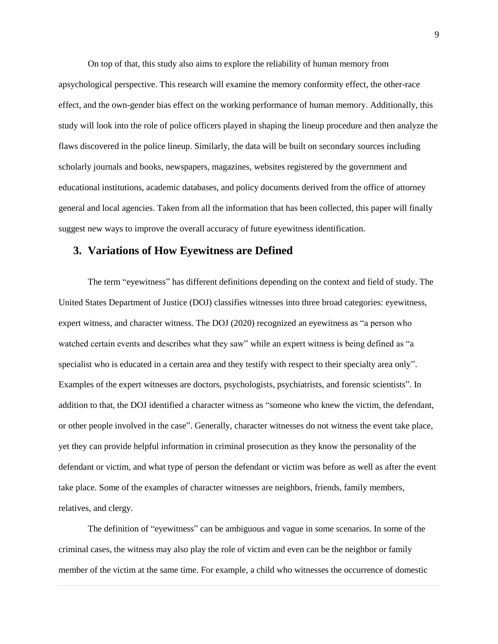On top of that, this study also aims to explore the reliability of human memory from apsychological perspective. This research will examine the memory conformity effect, the other-race effect, and the own-gender bias effect on the working performance of human memory. Additionally, this study will look into the role of police officers played in shaping the lineup procedure and then analyze the flaws discovered in the police lineup. Similarly, the data will be built on secondary sources including scholarly journals and books, newspapers, magazines, websites registered by the government and educational institutions, academic databases, and policy documents derived from the office of attorney general and local agencies. Taken from all the information that has been collected, this paper will finally suggest new ways to improve the overall accuracy of future eyewitness identification.

#### **3. Variations of How Eyewitness are Defined**

The term "eyewitness" has different definitions depending on the context and field of study. The United States Department of Justice (DOJ) classifies witnesses into three broad categories: eyewitness, expert witness, and character witness. The DOJ (2020) recognized an eyewitness as "a person who watched certain events and describes what they saw" while an expert witness is being defined as "a specialist who is educated in a certain area and they testify with respect to their specialty area only". Examples of the expert witnesses are doctors, psychologists, psychiatrists, and forensic scientists". In addition to that, the DOJ identified a character witness as "someone who knew the victim, the defendant, or other people involved in the case". Generally, character witnesses do not witness the event take place, yet they can provide helpful information in criminal prosecution as they know the personality of the defendant or victim, and what type of person the defendant or victim was before as well as after the event take place. Some of the examples of character witnesses are neighbors, friends, family members, relatives, and clergy.

The definition of "eyewitness" can be ambiguous and vague in some scenarios. In some of the criminal cases, the witness may also play the role of victim and even can be the neighbor or family member of the victim at the same time. For example, a child who witnesses the occurrence of domestic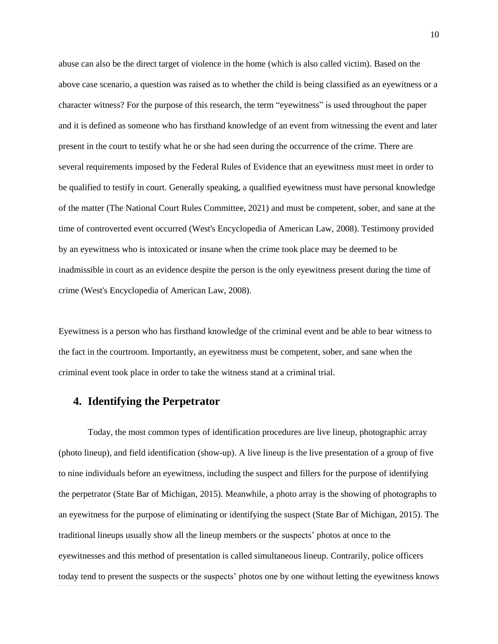abuse can also be the direct target of violence in the home (which is also called victim). Based on the above case scenario, a question was raised as to whether the child is being classified as an eyewitness or a character witness? For the purpose of this research, the term "eyewitness" is used throughout the paper and it is defined as someone who has firsthand knowledge of an event from witnessing the event and later present in the court to testify what he or she had seen during the occurrence of the crime. There are several requirements imposed by the Federal Rules of Evidence that an eyewitness must meet in order to be qualified to testify in court. Generally speaking, a qualified eyewitness must have personal knowledge of the matter (The National Court Rules Committee, 2021) and must be competent, sober, and sane at the time of controverted event occurred (West's Encyclopedia of American Law, 2008). Testimony provided by an eyewitness who is intoxicated or insane when the crime took place may be deemed to be inadmissible in court as an evidence despite the person is the only eyewitness present during the time of crime (West's Encyclopedia of American Law, 2008).

Eyewitness is a person who has firsthand knowledge of the criminal event and be able to bear witness to the fact in the courtroom. Importantly, an eyewitness must be competent, sober, and sane when the criminal event took place in order to take the witness stand at a criminal trial.

## **4. Identifying the Perpetrator**

Today, the most common types of identification procedures are live lineup, photographic array (photo lineup), and field identification (show-up). A live lineup is the live presentation of a group of five to nine individuals before an eyewitness, including the suspect and fillers for the purpose of identifying the perpetrator (State Bar of Michigan, 2015). Meanwhile, a photo array is the showing of photographs to an eyewitness for the purpose of eliminating or identifying the suspect (State Bar of Michigan, 2015). The traditional lineups usually show all the lineup members or the suspects' photos at once to the eyewitnesses and this method of presentation is called simultaneous lineup. Contrarily, police officers today tend to present the suspects or the suspects' photos one by one without letting the eyewitness knows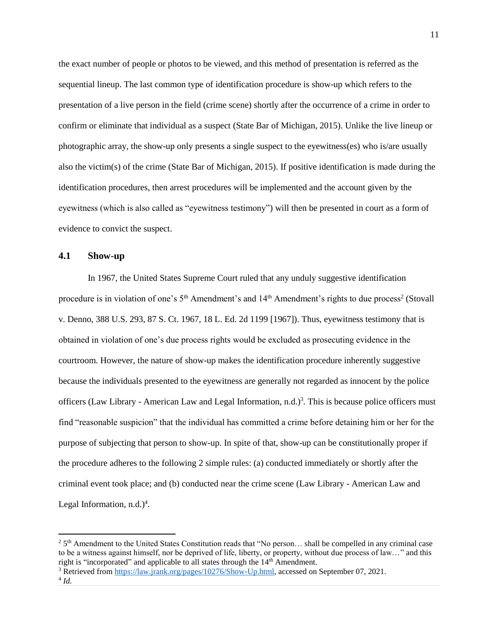the exact number of people or photos to be viewed, and this method of presentation is referred as the sequential lineup. The last common type of identification procedure is show-up which refers to the presentation of a live person in the field (crime scene) shortly after the occurrence of a crime in order to confirm or eliminate that individual as a suspect (State Bar of Michigan, 2015). Unlike the live lineup or photographic array, the show-up only presents a single suspect to the eyewitness(es) who is/are usually also the victim(s) of the crime (State Bar of Michigan, 2015). If positive identification is made during the identification procedures, then arrest procedures will be implemented and the account given by the eyewitness (which is also called as "eyewitness testimony") will then be presented in court as a form of evidence to convict the suspect.

#### **4.1 Show-up**

l

In 1967, the United States Supreme Court ruled that any unduly suggestive identification procedure is in violation of one's 5<sup>th</sup> Amendment's and 14<sup>th</sup> Amendment's rights to due process<sup>2</sup> (Stovall v. Denno, 388 U.S. 293, 87 S. Ct. 1967, 18 L. Ed. 2d 1199 [1967]). Thus, eyewitness testimony that is obtained in violation of one's due process rights would be excluded as prosecuting evidence in the courtroom. However, the nature of show-up makes the identification procedure inherently suggestive because the individuals presented to the eyewitness are generally not regarded as innocent by the police officers (Law Library - American Law and Legal Information, n.d.)<sup>3</sup>. This is because police officers must find "reasonable suspicion" that the individual has committed a crime before detaining him or her for the purpose of subjecting that person to show-up. In spite of that, show-up can be constitutionally proper if the procedure adheres to the following 2 simple rules: (a) conducted immediately or shortly after the criminal event took place; and (b) conducted near the crime scene (Law Library - American Law and Legal Information,  $n.d.$ )<sup>4</sup>.

<sup>&</sup>lt;sup>2</sup> 5<sup>th</sup> Amendment to the United States Constitution reads that "No person... shall be compelled in any criminal case to be a witness against himself, nor be deprived of life, liberty, or property, without due process of law…" and this right is "incorporated" and applicable to all states through the 14<sup>th</sup> Amendment.

<sup>3</sup> Retrieved from [https://law.jrank.org/pages/10276/Show-Up.html,](https://law.jrank.org/pages/10276/Show-Up.html) accessed on September 07, 2021. 4 *Id.*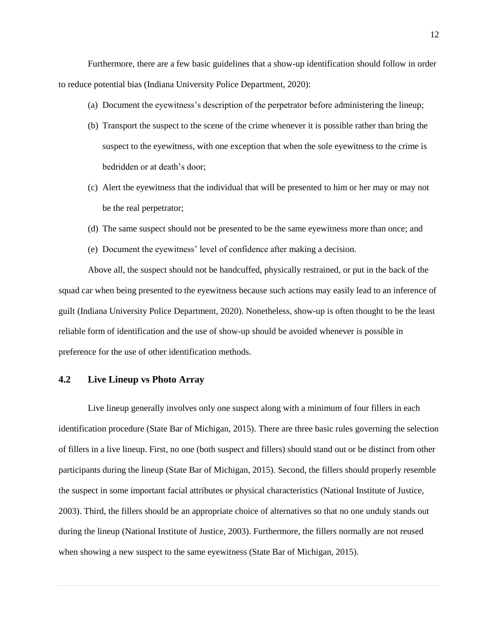Furthermore, there are a few basic guidelines that a show-up identification should follow in order to reduce potential bias (Indiana University Police Department, 2020):

- (a) Document the eyewitness's description of the perpetrator before administering the lineup;
- (b) Transport the suspect to the scene of the crime whenever it is possible rather than bring the suspect to the eyewitness, with one exception that when the sole eyewitness to the crime is bedridden or at death's door;
- (c) Alert the eyewitness that the individual that will be presented to him or her may or may not be the real perpetrator;
- (d) The same suspect should not be presented to be the same eyewitness more than once; and
- (e) Document the eyewitness' level of confidence after making a decision.

Above all, the suspect should not be handcuffed, physically restrained, or put in the back of the squad car when being presented to the eyewitness because such actions may easily lead to an inference of guilt (Indiana University Police Department, 2020). Nonetheless, show-up is often thought to be the least reliable form of identification and the use of show-up should be avoided whenever is possible in preference for the use of other identification methods.

#### **4.2 Live Lineup vs Photo Array**

Live lineup generally involves only one suspect along with a minimum of four fillers in each identification procedure (State Bar of Michigan, 2015). There are three basic rules governing the selection of fillers in a live lineup. First, no one (both suspect and fillers) should stand out or be distinct from other participants during the lineup (State Bar of Michigan, 2015). Second, the fillers should properly resemble the suspect in some important facial attributes or physical characteristics (National Institute of Justice, 2003). Third, the fillers should be an appropriate choice of alternatives so that no one unduly stands out during the lineup (National Institute of Justice, 2003). Furthermore, the fillers normally are not reused when showing a new suspect to the same eyewitness (State Bar of Michigan, 2015).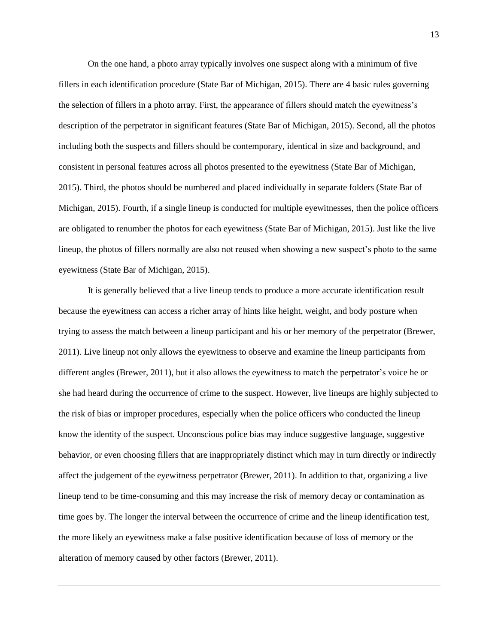On the one hand, a photo array typically involves one suspect along with a minimum of five fillers in each identification procedure (State Bar of Michigan, 2015). There are 4 basic rules governing the selection of fillers in a photo array. First, the appearance of fillers should match the eyewitness's description of the perpetrator in significant features (State Bar of Michigan, 2015). Second, all the photos including both the suspects and fillers should be contemporary, identical in size and background, and consistent in personal features across all photos presented to the eyewitness (State Bar of Michigan, 2015). Third, the photos should be numbered and placed individually in separate folders (State Bar of Michigan, 2015). Fourth, if a single lineup is conducted for multiple eyewitnesses, then the police officers are obligated to renumber the photos for each eyewitness (State Bar of Michigan, 2015). Just like the live lineup, the photos of fillers normally are also not reused when showing a new suspect's photo to the same eyewitness (State Bar of Michigan, 2015).

It is generally believed that a live lineup tends to produce a more accurate identification result because the eyewitness can access a richer array of hints like height, weight, and body posture when trying to assess the match between a lineup participant and his or her memory of the perpetrator (Brewer, 2011). Live lineup not only allows the eyewitness to observe and examine the lineup participants from different angles (Brewer, 2011), but it also allows the eyewitness to match the perpetrator's voice he or she had heard during the occurrence of crime to the suspect. However, live lineups are highly subjected to the risk of bias or improper procedures, especially when the police officers who conducted the lineup know the identity of the suspect. Unconscious police bias may induce suggestive language, suggestive behavior, or even choosing fillers that are inappropriately distinct which may in turn directly or indirectly affect the judgement of the eyewitness perpetrator (Brewer, 2011). In addition to that, organizing a live lineup tend to be time-consuming and this may increase the risk of memory decay or contamination as time goes by. The longer the interval between the occurrence of crime and the lineup identification test, the more likely an eyewitness make a false positive identification because of loss of memory or the alteration of memory caused by other factors (Brewer, 2011).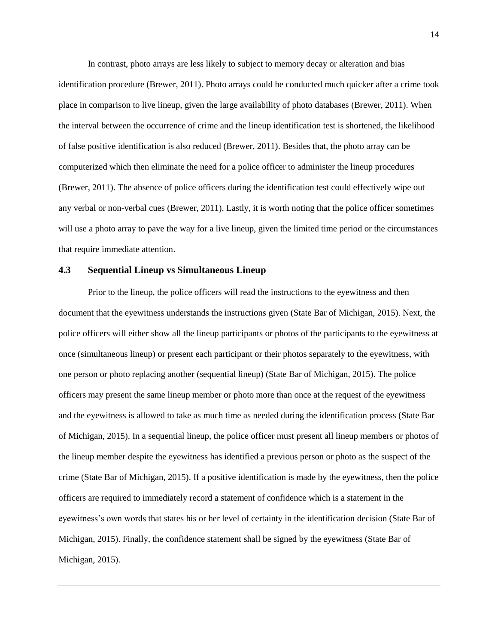In contrast, photo arrays are less likely to subject to memory decay or alteration and bias

identification procedure (Brewer, 2011). Photo arrays could be conducted much quicker after a crime took place in comparison to live lineup, given the large availability of photo databases (Brewer, 2011). When the interval between the occurrence of crime and the lineup identification test is shortened, the likelihood of false positive identification is also reduced (Brewer, 2011). Besides that, the photo array can be computerized which then eliminate the need for a police officer to administer the lineup procedures (Brewer, 2011). The absence of police officers during the identification test could effectively wipe out any verbal or non-verbal cues (Brewer, 2011). Lastly, it is worth noting that the police officer sometimes will use a photo array to pave the way for a live lineup, given the limited time period or the circumstances that require immediate attention.

#### **4.3 Sequential Lineup vs Simultaneous Lineup**

Prior to the lineup, the police officers will read the instructions to the eyewitness and then document that the eyewitness understands the instructions given (State Bar of Michigan, 2015). Next, the police officers will either show all the lineup participants or photos of the participants to the eyewitness at once (simultaneous lineup) or present each participant or their photos separately to the eyewitness, with one person or photo replacing another (sequential lineup) (State Bar of Michigan, 2015). The police officers may present the same lineup member or photo more than once at the request of the eyewitness and the eyewitness is allowed to take as much time as needed during the identification process (State Bar of Michigan, 2015). In a sequential lineup, the police officer must present all lineup members or photos of the lineup member despite the eyewitness has identified a previous person or photo as the suspect of the crime (State Bar of Michigan, 2015). If a positive identification is made by the eyewitness, then the police officers are required to immediately record a statement of confidence which is a statement in the eyewitness's own words that states his or her level of certainty in the identification decision (State Bar of Michigan, 2015). Finally, the confidence statement shall be signed by the eyewitness (State Bar of Michigan, 2015).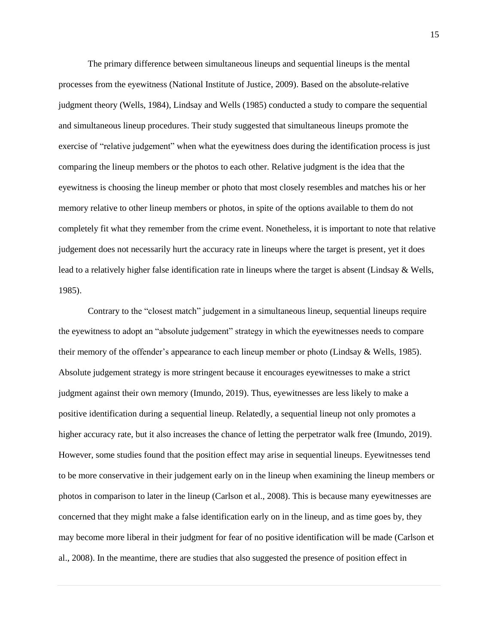The primary difference between simultaneous lineups and sequential lineups is the mental processes from the eyewitness (National Institute of Justice, 2009). Based on the absolute-relative judgment theory (Wells, 1984), Lindsay and Wells (1985) conducted a study to compare the sequential and simultaneous lineup procedures. Their study suggested that simultaneous lineups promote the exercise of "relative judgement" when what the eyewitness does during the identification process is just comparing the lineup members or the photos to each other. Relative judgment is the idea that the eyewitness is choosing the lineup member or photo that most closely resembles and matches his or her memory relative to other lineup members or photos, in spite of the options available to them do not completely fit what they remember from the crime event. Nonetheless, it is important to note that relative judgement does not necessarily hurt the accuracy rate in lineups where the target is present, yet it does lead to a relatively higher false identification rate in lineups where the target is absent (Lindsay & Wells, 1985).

Contrary to the "closest match" judgement in a simultaneous lineup, sequential lineups require the eyewitness to adopt an "absolute judgement" strategy in which the eyewitnesses needs to compare their memory of the offender's appearance to each lineup member or photo (Lindsay & Wells, 1985). Absolute judgement strategy is more stringent because it encourages eyewitnesses to make a strict judgment against their own memory (Imundo, 2019). Thus, eyewitnesses are less likely to make a positive identification during a sequential lineup. Relatedly, a sequential lineup not only promotes a higher accuracy rate, but it also increases the chance of letting the perpetrator walk free (Imundo, 2019). However, some studies found that the position effect may arise in sequential lineups. Eyewitnesses tend to be more conservative in their judgement early on in the lineup when examining the lineup members or photos in comparison to later in the lineup (Carlson et al., 2008). This is because many eyewitnesses are concerned that they might make a false identification early on in the lineup, and as time goes by, they may become more liberal in their judgment for fear of no positive identification will be made (Carlson et al., 2008). In the meantime, there are studies that also suggested the presence of position effect in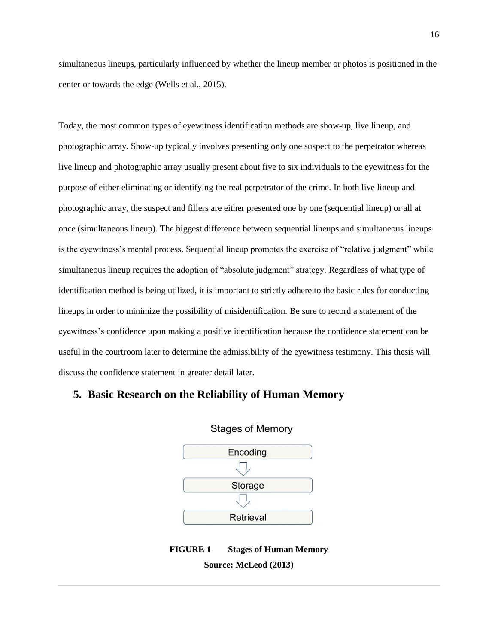simultaneous lineups, particularly influenced by whether the lineup member or photos is positioned in the center or towards the edge (Wells et al., 2015).

Today, the most common types of eyewitness identification methods are show-up, live lineup, and photographic array. Show-up typically involves presenting only one suspect to the perpetrator whereas live lineup and photographic array usually present about five to six individuals to the eyewitness for the purpose of either eliminating or identifying the real perpetrator of the crime. In both live lineup and photographic array, the suspect and fillers are either presented one by one (sequential lineup) or all at once (simultaneous lineup). The biggest difference between sequential lineups and simultaneous lineups is the eyewitness's mental process. Sequential lineup promotes the exercise of "relative judgment" while simultaneous lineup requires the adoption of "absolute judgment" strategy. Regardless of what type of identification method is being utilized, it is important to strictly adhere to the basic rules for conducting lineups in order to minimize the possibility of misidentification. Be sure to record a statement of the eyewitness's confidence upon making a positive identification because the confidence statement can be useful in the courtroom later to determine the admissibility of the eyewitness testimony. This thesis will discuss the confidence statement in greater detail later.

#### **5. Basic Research on the Reliability of Human Memory**



**Stages of Memory** 



**Source: McLeod (2013)**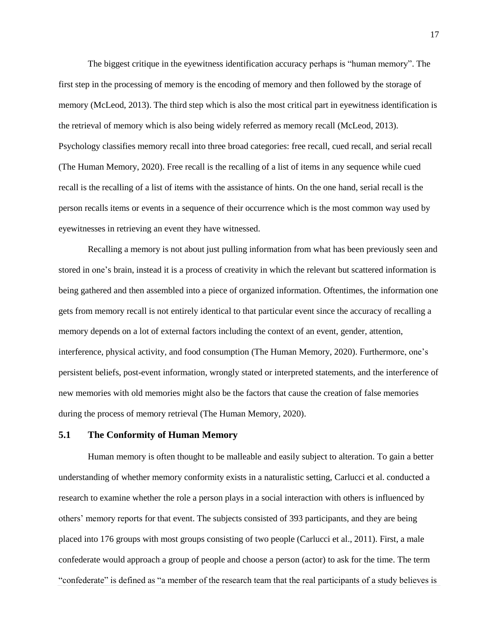The biggest critique in the eyewitness identification accuracy perhaps is "human memory". The first step in the processing of memory is the encoding of memory and then followed by the storage of memory (McLeod, 2013). The third step which is also the most critical part in eyewitness identification is the retrieval of memory which is also being widely referred as memory recall (McLeod, 2013). Psychology classifies memory recall into three broad categories: free recall, cued recall, and serial recall (The Human Memory, 2020). Free recall is the recalling of a list of items in any sequence while cued recall is the recalling of a list of items with the assistance of hints. On the one hand, serial recall is the person recalls items or events in a sequence of their occurrence which is the most common way used by eyewitnesses in retrieving an event they have witnessed.

Recalling a memory is not about just pulling information from what has been previously seen and stored in one's brain, instead it is a process of creativity in which the relevant but scattered information is being gathered and then assembled into a piece of organized information. Oftentimes, the information one gets from memory recall is not entirely identical to that particular event since the accuracy of recalling a memory depends on a lot of external factors including the context of an event, gender, attention, interference, physical activity, and food consumption (The Human Memory, 2020). Furthermore, one's persistent beliefs, post-event information, wrongly stated or interpreted statements, and the interference of new memories with old memories might also be the factors that cause the creation of false memories during the process of memory retrieval (The Human Memory, 2020).

#### **5.1 The Conformity of Human Memory**

Human memory is often thought to be malleable and easily subject to alteration. To gain a better understanding of whether memory conformity exists in a naturalistic setting, Carlucci et al. conducted a research to examine whether the role a person plays in a social interaction with others is influenced by others' memory reports for that event. The subjects consisted of 393 participants, and they are being placed into 176 groups with most groups consisting of two people (Carlucci et al., 2011). First, a male confederate would approach a group of people and choose a person (actor) to ask for the time. The term "confederate" is defined as "a member of the research team that the real participants of a study believes is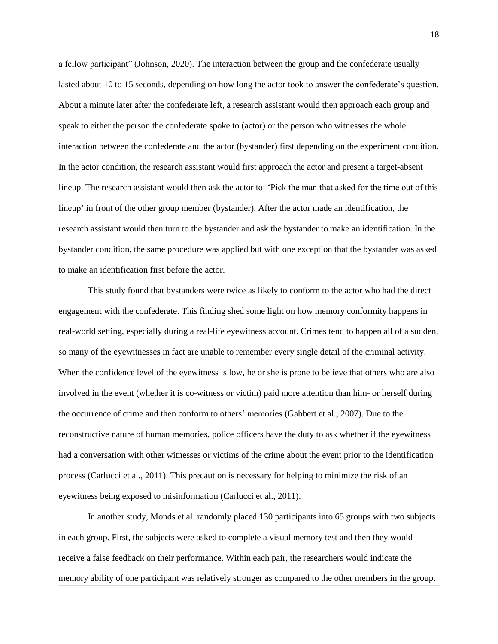a fellow participant" (Johnson, 2020). The interaction between the group and the confederate usually lasted about 10 to 15 seconds, depending on how long the actor took to answer the confederate's question. About a minute later after the confederate left, a research assistant would then approach each group and speak to either the person the confederate spoke to (actor) or the person who witnesses the whole interaction between the confederate and the actor (bystander) first depending on the experiment condition. In the actor condition, the research assistant would first approach the actor and present a target-absent lineup. The research assistant would then ask the actor to: 'Pick the man that asked for the time out of this lineup' in front of the other group member (bystander). After the actor made an identification, the research assistant would then turn to the bystander and ask the bystander to make an identification. In the bystander condition, the same procedure was applied but with one exception that the bystander was asked to make an identification first before the actor.

This study found that bystanders were twice as likely to conform to the actor who had the direct engagement with the confederate. This finding shed some light on how memory conformity happens in real-world setting, especially during a real-life eyewitness account. Crimes tend to happen all of a sudden, so many of the eyewitnesses in fact are unable to remember every single detail of the criminal activity. When the confidence level of the eyewitness is low, he or she is prone to believe that others who are also involved in the event (whether it is co-witness or victim) paid more attention than him- or herself during the occurrence of crime and then conform to others' memories (Gabbert et al., 2007). Due to the reconstructive nature of human memories, police officers have the duty to ask whether if the eyewitness had a conversation with other witnesses or victims of the crime about the event prior to the identification process (Carlucci et al., 2011). This precaution is necessary for helping to minimize the risk of an eyewitness being exposed to misinformation (Carlucci et al., 2011).

In another study, Monds et al. randomly placed 130 participants into 65 groups with two subjects in each group. First, the subjects were asked to complete a visual memory test and then they would receive a false feedback on their performance. Within each pair, the researchers would indicate the memory ability of one participant was relatively stronger as compared to the other members in the group.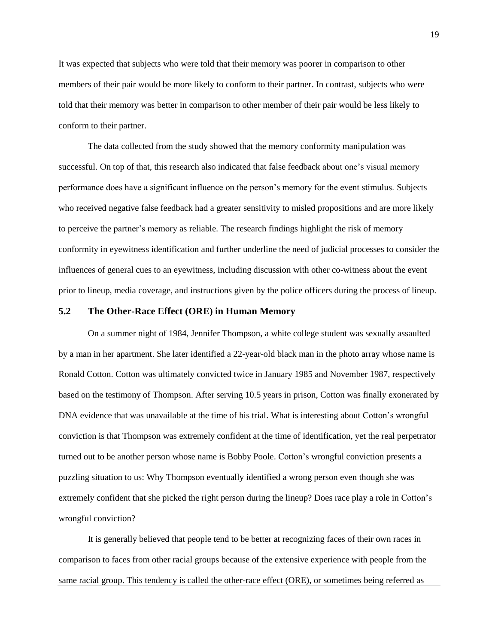It was expected that subjects who were told that their memory was poorer in comparison to other members of their pair would be more likely to conform to their partner. In contrast, subjects who were told that their memory was better in comparison to other member of their pair would be less likely to conform to their partner.

The data collected from the study showed that the memory conformity manipulation was successful. On top of that, this research also indicated that false feedback about one's visual memory performance does have a significant influence on the person's memory for the event stimulus. Subjects who received negative false feedback had a greater sensitivity to misled propositions and are more likely to perceive the partner's memory as reliable. The research findings highlight the risk of memory conformity in eyewitness identification and further underline the need of judicial processes to consider the influences of general cues to an eyewitness, including discussion with other co-witness about the event prior to lineup, media coverage, and instructions given by the police officers during the process of lineup.

#### **5.2 The Other-Race Effect (ORE) in Human Memory**

On a summer night of 1984, Jennifer Thompson, a white college student was sexually assaulted by a man in her apartment. She later identified a 22-year-old black man in the photo array whose name is Ronald Cotton. Cotton was ultimately convicted twice in January 1985 and November 1987, respectively based on the testimony of Thompson. After serving 10.5 years in prison, Cotton was finally exonerated by DNA evidence that was unavailable at the time of his trial. What is interesting about Cotton's wrongful conviction is that Thompson was extremely confident at the time of identification, yet the real perpetrator turned out to be another person whose name is Bobby Poole. Cotton's wrongful conviction presents a puzzling situation to us: Why Thompson eventually identified a wrong person even though she was extremely confident that she picked the right person during the lineup? Does race play a role in Cotton's wrongful conviction?

It is generally believed that people tend to be better at recognizing faces of their own races in comparison to faces from other racial groups because of the extensive experience with people from the same racial group. This tendency is called the other-race effect (ORE), or sometimes being referred as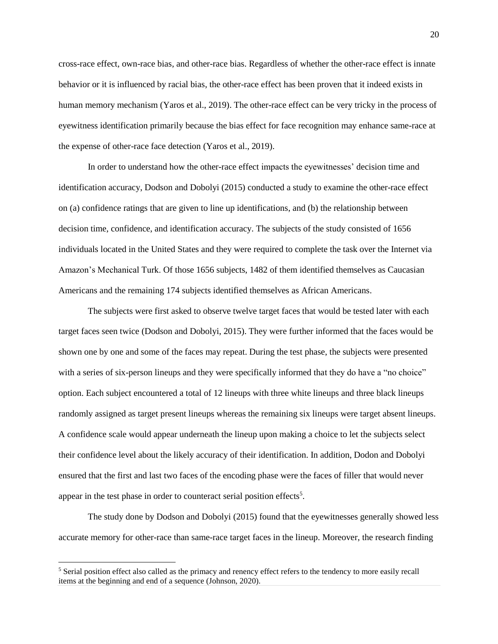cross-race effect, own-race bias, and other-race bias. Regardless of whether the other-race effect is innate behavior or it is influenced by racial bias, the other-race effect has been proven that it indeed exists in human memory mechanism (Yaros et al., 2019). The other-race effect can be very tricky in the process of eyewitness identification primarily because the bias effect for face recognition may enhance same-race at the expense of other-race face detection (Yaros et al., 2019).

In order to understand how the other-race effect impacts the eyewitnesses' decision time and identification accuracy, Dodson and Dobolyi (2015) conducted a study to examine the other-race effect on (a) confidence ratings that are given to line up identifications, and (b) the relationship between decision time, confidence, and identification accuracy. The subjects of the study consisted of 1656 individuals located in the United States and they were required to complete the task over the Internet via Amazon's Mechanical Turk. Of those 1656 subjects, 1482 of them identified themselves as Caucasian Americans and the remaining 174 subjects identified themselves as African Americans.

The subjects were first asked to observe twelve target faces that would be tested later with each target faces seen twice (Dodson and Dobolyi, 2015). They were further informed that the faces would be shown one by one and some of the faces may repeat. During the test phase, the subjects were presented with a series of six-person lineups and they were specifically informed that they do have a "no choice" option. Each subject encountered a total of 12 lineups with three white lineups and three black lineups randomly assigned as target present lineups whereas the remaining six lineups were target absent lineups. A confidence scale would appear underneath the lineup upon making a choice to let the subjects select their confidence level about the likely accuracy of their identification. In addition, Dodon and Dobolyi ensured that the first and last two faces of the encoding phase were the faces of filler that would never appear in the test phase in order to counteract serial position effects<sup>5</sup>.

The study done by Dodson and Dobolyi (2015) found that the eyewitnesses generally showed less accurate memory for other-race than same-race target faces in the lineup. Moreover, the research finding

 $\overline{a}$ 

<sup>&</sup>lt;sup>5</sup> Serial position effect also called as the primacy and renency effect refers to the tendency to more easily recall items at the beginning and end of a sequence (Johnson, 2020).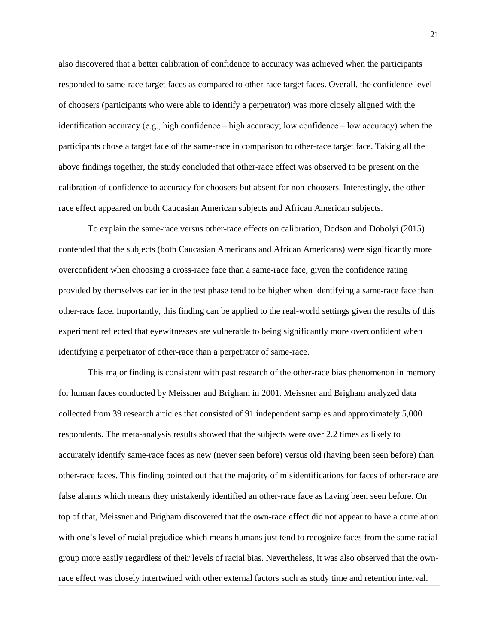also discovered that a better calibration of confidence to accuracy was achieved when the participants responded to same-race target faces as compared to other-race target faces. Overall, the confidence level of choosers (participants who were able to identify a perpetrator) was more closely aligned with the identification accuracy (e.g., high confidence  $=$  high accuracy; low confidence  $=$  low accuracy) when the participants chose a target face of the same-race in comparison to other-race target face. Taking all the above findings together, the study concluded that other-race effect was observed to be present on the calibration of confidence to accuracy for choosers but absent for non-choosers. Interestingly, the otherrace effect appeared on both Caucasian American subjects and African American subjects.

To explain the same-race versus other-race effects on calibration, Dodson and Dobolyi (2015) contended that the subjects (both Caucasian Americans and African Americans) were significantly more overconfident when choosing a cross-race face than a same-race face, given the confidence rating provided by themselves earlier in the test phase tend to be higher when identifying a same-race face than other-race face. Importantly, this finding can be applied to the real-world settings given the results of this experiment reflected that eyewitnesses are vulnerable to being significantly more overconfident when identifying a perpetrator of other-race than a perpetrator of same-race.

This major finding is consistent with past research of the other-race bias phenomenon in memory for human faces conducted by Meissner and Brigham in 2001. Meissner and Brigham analyzed data collected from 39 research articles that consisted of 91 independent samples and approximately 5,000 respondents. The meta-analysis results showed that the subjects were over 2.2 times as likely to accurately identify same-race faces as new (never seen before) versus old (having been seen before) than other-race faces. This finding pointed out that the majority of misidentifications for faces of other-race are false alarms which means they mistakenly identified an other-race face as having been seen before. On top of that, Meissner and Brigham discovered that the own-race effect did not appear to have a correlation with one's level of racial prejudice which means humans just tend to recognize faces from the same racial group more easily regardless of their levels of racial bias. Nevertheless, it was also observed that the ownrace effect was closely intertwined with other external factors such as study time and retention interval.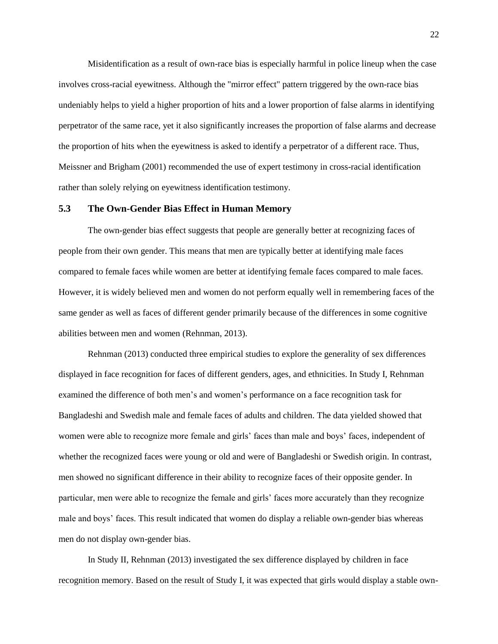Misidentification as a result of own-race bias is especially harmful in police lineup when the case involves cross-racial eyewitness. Although the "mirror effect" pattern triggered by the own-race bias undeniably helps to yield a higher proportion of hits and a lower proportion of false alarms in identifying perpetrator of the same race, yet it also significantly increases the proportion of false alarms and decrease the proportion of hits when the eyewitness is asked to identify a perpetrator of a different race. Thus, Meissner and Brigham (2001) recommended the use of expert testimony in cross-racial identification rather than solely relying on eyewitness identification testimony.

#### **5.3 The Own-Gender Bias Effect in Human Memory**

The own-gender bias effect suggests that people are generally better at recognizing faces of people from their own gender. This means that men are typically better at identifying male faces compared to female faces while women are better at identifying female faces compared to male faces. However, it is widely believed men and women do not perform equally well in remembering faces of the same gender as well as faces of different gender primarily because of the differences in some cognitive abilities between men and women (Rehnman, 2013).

Rehnman (2013) conducted three empirical studies to explore the generality of sex differences displayed in face recognition for faces of different genders, ages, and ethnicities. In Study I, Rehnman examined the difference of both men's and women's performance on a face recognition task for Bangladeshi and Swedish male and female faces of adults and children. The data yielded showed that women were able to recognize more female and girls' faces than male and boys' faces, independent of whether the recognized faces were young or old and were of Bangladeshi or Swedish origin. In contrast, men showed no significant difference in their ability to recognize faces of their opposite gender. In particular, men were able to recognize the female and girls' faces more accurately than they recognize male and boys' faces. This result indicated that women do display a reliable own-gender bias whereas men do not display own-gender bias.

In Study II, Rehnman (2013) investigated the sex difference displayed by children in face recognition memory. Based on the result of Study I, it was expected that girls would display a stable own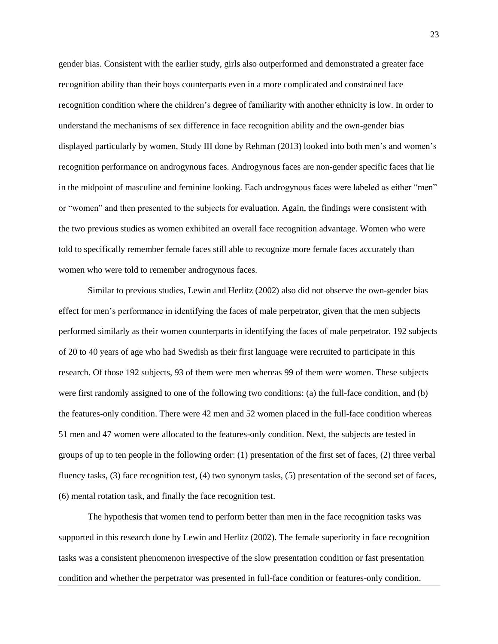gender bias. Consistent with the earlier study, girls also outperformed and demonstrated a greater face recognition ability than their boys counterparts even in a more complicated and constrained face recognition condition where the children's degree of familiarity with another ethnicity is low. In order to understand the mechanisms of sex difference in face recognition ability and the own-gender bias displayed particularly by women, Study III done by Rehman (2013) looked into both men's and women's recognition performance on androgynous faces. Androgynous faces are non-gender specific faces that lie in the midpoint of masculine and feminine looking. Each androgynous faces were labeled as either "men" or "women" and then presented to the subjects for evaluation. Again, the findings were consistent with the two previous studies as women exhibited an overall face recognition advantage. Women who were told to specifically remember female faces still able to recognize more female faces accurately than women who were told to remember androgynous faces.

Similar to previous studies, Lewin and Herlitz (2002) also did not observe the own-gender bias effect for men's performance in identifying the faces of male perpetrator, given that the men subjects performed similarly as their women counterparts in identifying the faces of male perpetrator. 192 subjects of 20 to 40 years of age who had Swedish as their first language were recruited to participate in this research. Of those 192 subjects, 93 of them were men whereas 99 of them were women. These subjects were first randomly assigned to one of the following two conditions: (a) the full-face condition, and (b) the features-only condition. There were 42 men and 52 women placed in the full-face condition whereas 51 men and 47 women were allocated to the features-only condition. Next, the subjects are tested in groups of up to ten people in the following order: (1) presentation of the first set of faces, (2) three verbal fluency tasks, (3) face recognition test, (4) two synonym tasks, (5) presentation of the second set of faces, (6) mental rotation task, and finally the face recognition test.

The hypothesis that women tend to perform better than men in the face recognition tasks was supported in this research done by Lewin and Herlitz (2002). The female superiority in face recognition tasks was a consistent phenomenon irrespective of the slow presentation condition or fast presentation condition and whether the perpetrator was presented in full-face condition or features-only condition.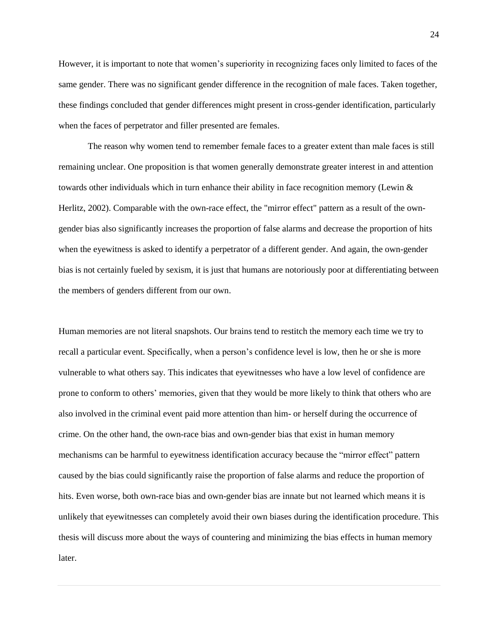However, it is important to note that women's superiority in recognizing faces only limited to faces of the same gender. There was no significant gender difference in the recognition of male faces. Taken together, these findings concluded that gender differences might present in cross-gender identification, particularly when the faces of perpetrator and filler presented are females.

The reason why women tend to remember female faces to a greater extent than male faces is still remaining unclear. One proposition is that women generally demonstrate greater interest in and attention towards other individuals which in turn enhance their ability in face recognition memory (Lewin & Herlitz, 2002). Comparable with the own-race effect, the "mirror effect" pattern as a result of the owngender bias also significantly increases the proportion of false alarms and decrease the proportion of hits when the eyewitness is asked to identify a perpetrator of a different gender. And again, the own-gender bias is not certainly fueled by sexism, it is just that humans are notoriously poor at differentiating between the members of genders different from our own.

Human memories are not literal snapshots. Our brains tend to restitch the memory each time we try to recall a particular event. Specifically, when a person's confidence level is low, then he or she is more vulnerable to what others say. This indicates that eyewitnesses who have a low level of confidence are prone to conform to others' memories, given that they would be more likely to think that others who are also involved in the criminal event paid more attention than him- or herself during the occurrence of crime. On the other hand, the own-race bias and own-gender bias that exist in human memory mechanisms can be harmful to eyewitness identification accuracy because the "mirror effect" pattern caused by the bias could significantly raise the proportion of false alarms and reduce the proportion of hits. Even worse, both own-race bias and own-gender bias are innate but not learned which means it is unlikely that eyewitnesses can completely avoid their own biases during the identification procedure. This thesis will discuss more about the ways of countering and minimizing the bias effects in human memory later.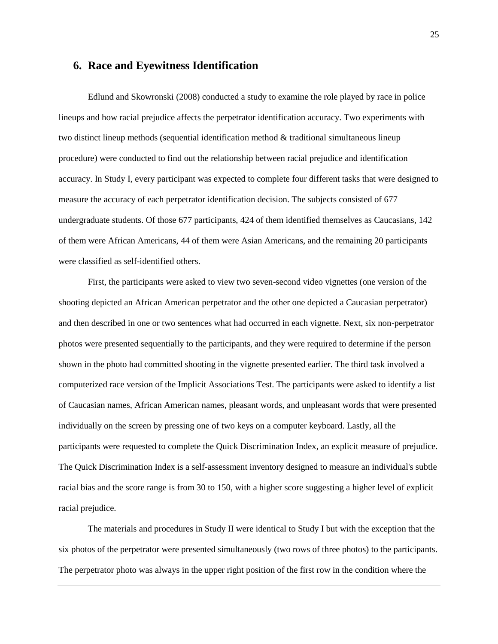#### **6. Race and Eyewitness Identification**

Edlund and Skowronski (2008) conducted a study to examine the role played by race in police lineups and how racial prejudice affects the perpetrator identification accuracy. Two experiments with two distinct lineup methods (sequential identification method & traditional simultaneous lineup procedure) were conducted to find out the relationship between racial prejudice and identification accuracy. In Study I, every participant was expected to complete four different tasks that were designed to measure the accuracy of each perpetrator identification decision. The subjects consisted of 677 undergraduate students. Of those 677 participants, 424 of them identified themselves as Caucasians, 142 of them were African Americans, 44 of them were Asian Americans, and the remaining 20 participants were classified as self-identified others.

First, the participants were asked to view two seven-second video vignettes (one version of the shooting depicted an African American perpetrator and the other one depicted a Caucasian perpetrator) and then described in one or two sentences what had occurred in each vignette. Next, six non-perpetrator photos were presented sequentially to the participants, and they were required to determine if the person shown in the photo had committed shooting in the vignette presented earlier. The third task involved a computerized race version of the Implicit Associations Test. The participants were asked to identify a list of Caucasian names, African American names, pleasant words, and unpleasant words that were presented individually on the screen by pressing one of two keys on a computer keyboard. Lastly, all the participants were requested to complete the Quick Discrimination Index, an explicit measure of prejudice. The Quick Discrimination Index is a self-assessment inventory designed to measure an individual's subtle racial bias and the score range is from 30 to 150, with a higher score suggesting a higher level of explicit racial prejudice.

The materials and procedures in Study II were identical to Study I but with the exception that the six photos of the perpetrator were presented simultaneously (two rows of three photos) to the participants. The perpetrator photo was always in the upper right position of the first row in the condition where the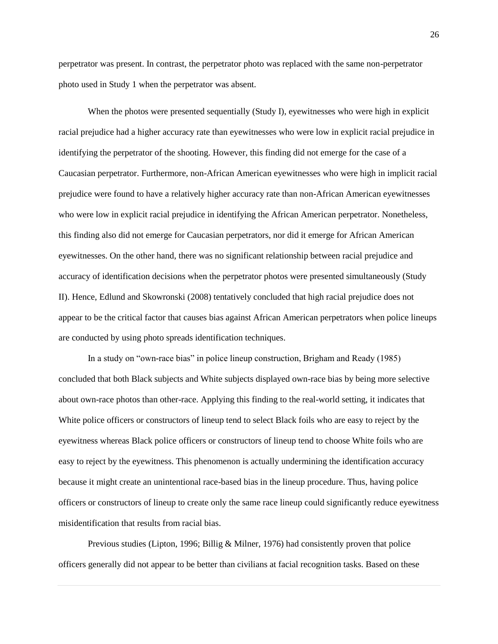perpetrator was present. In contrast, the perpetrator photo was replaced with the same non-perpetrator photo used in Study 1 when the perpetrator was absent.

When the photos were presented sequentially (Study I), eyewitnesses who were high in explicit racial prejudice had a higher accuracy rate than eyewitnesses who were low in explicit racial prejudice in identifying the perpetrator of the shooting. However, this finding did not emerge for the case of a Caucasian perpetrator. Furthermore, non-African American eyewitnesses who were high in implicit racial prejudice were found to have a relatively higher accuracy rate than non-African American eyewitnesses who were low in explicit racial prejudice in identifying the African American perpetrator. Nonetheless, this finding also did not emerge for Caucasian perpetrators, nor did it emerge for African American eyewitnesses. On the other hand, there was no significant relationship between racial prejudice and accuracy of identification decisions when the perpetrator photos were presented simultaneously (Study II). Hence, Edlund and Skowronski (2008) tentatively concluded that high racial prejudice does not appear to be the critical factor that causes bias against African American perpetrators when police lineups are conducted by using photo spreads identification techniques.

In a study on "own-race bias" in police lineup construction, Brigham and Ready (1985) concluded that both Black subjects and White subjects displayed own-race bias by being more selective about own-race photos than other-race. Applying this finding to the real-world setting, it indicates that White police officers or constructors of lineup tend to select Black foils who are easy to reject by the eyewitness whereas Black police officers or constructors of lineup tend to choose White foils who are easy to reject by the eyewitness. This phenomenon is actually undermining the identification accuracy because it might create an unintentional race-based bias in the lineup procedure. Thus, having police officers or constructors of lineup to create only the same race lineup could significantly reduce eyewitness misidentification that results from racial bias.

Previous studies (Lipton, 1996; Billig & Milner, 1976) had consistently proven that police officers generally did not appear to be better than civilians at facial recognition tasks. Based on these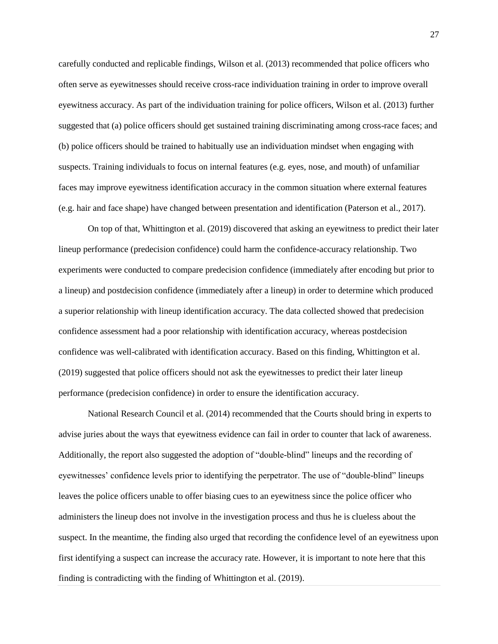carefully conducted and replicable findings, Wilson et al. (2013) recommended that police officers who often serve as eyewitnesses should receive cross-race individuation training in order to improve overall eyewitness accuracy. As part of the individuation training for police officers, Wilson et al. (2013) further suggested that (a) police officers should get sustained training discriminating among cross-race faces; and (b) police officers should be trained to habitually use an individuation mindset when engaging with suspects. Training individuals to focus on internal features (e.g. eyes, nose, and mouth) of unfamiliar faces may improve eyewitness identification accuracy in the common situation where external features (e.g. hair and face shape) have changed between presentation and identification (Paterson et al., 2017).

On top of that, Whittington et al. (2019) discovered that asking an eyewitness to predict their later lineup performance (predecision confidence) could harm the confidence-accuracy relationship. Two experiments were conducted to compare predecision confidence (immediately after encoding but prior to a lineup) and postdecision confidence (immediately after a lineup) in order to determine which produced a superior relationship with lineup identification accuracy. The data collected showed that predecision confidence assessment had a poor relationship with identification accuracy, whereas postdecision confidence was well-calibrated with identification accuracy. Based on this finding, Whittington et al. (2019) suggested that police officers should not ask the eyewitnesses to predict their later lineup performance (predecision confidence) in order to ensure the identification accuracy.

National Research Council et al. (2014) recommended that the Courts should bring in experts to advise juries about the ways that eyewitness evidence can fail in order to counter that lack of awareness. Additionally, the report also suggested the adoption of "double-blind" lineups and the recording of eyewitnesses' confidence levels prior to identifying the perpetrator. The use of "double-blind" lineups leaves the police officers unable to offer biasing cues to an eyewitness since the police officer who administers the lineup does not involve in the investigation process and thus he is clueless about the suspect. In the meantime, the finding also urged that recording the confidence level of an eyewitness upon first identifying a suspect can increase the accuracy rate. However, it is important to note here that this finding is contradicting with the finding of Whittington et al. (2019).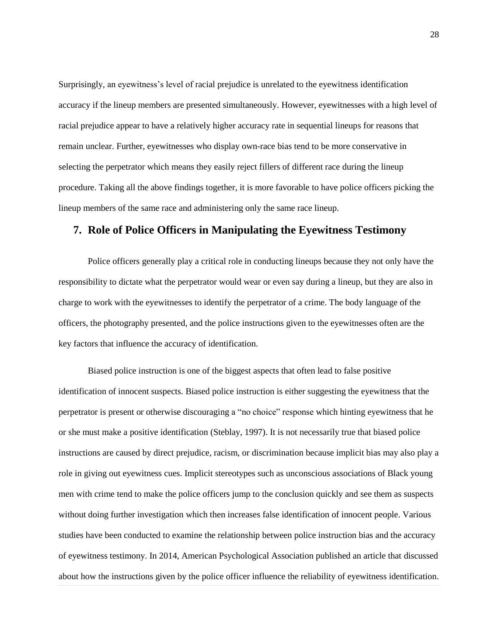Surprisingly, an eyewitness's level of racial prejudice is unrelated to the eyewitness identification accuracy if the lineup members are presented simultaneously. However, eyewitnesses with a high level of racial prejudice appear to have a relatively higher accuracy rate in sequential lineups for reasons that remain unclear. Further, eyewitnesses who display own-race bias tend to be more conservative in selecting the perpetrator which means they easily reject fillers of different race during the lineup procedure. Taking all the above findings together, it is more favorable to have police officers picking the lineup members of the same race and administering only the same race lineup.

### **7. Role of Police Officers in Manipulating the Eyewitness Testimony**

Police officers generally play a critical role in conducting lineups because they not only have the responsibility to dictate what the perpetrator would wear or even say during a lineup, but they are also in charge to work with the eyewitnesses to identify the perpetrator of a crime. The body language of the officers, the photography presented, and the police instructions given to the eyewitnesses often are the key factors that influence the accuracy of identification.

Biased police instruction is one of the biggest aspects that often lead to false positive identification of innocent suspects. Biased police instruction is either suggesting the eyewitness that the perpetrator is present or otherwise discouraging a "no choice" response which hinting eyewitness that he or she must make a positive identification (Steblay, 1997). It is not necessarily true that biased police instructions are caused by direct prejudice, racism, or discrimination because implicit bias may also play a role in giving out eyewitness cues. Implicit stereotypes such as unconscious associations of Black young men with crime tend to make the police officers jump to the conclusion quickly and see them as suspects without doing further investigation which then increases false identification of innocent people. Various studies have been conducted to examine the relationship between police instruction bias and the accuracy of eyewitness testimony. In 2014, American Psychological Association published an article that discussed about how the instructions given by the police officer influence the reliability of eyewitness identification.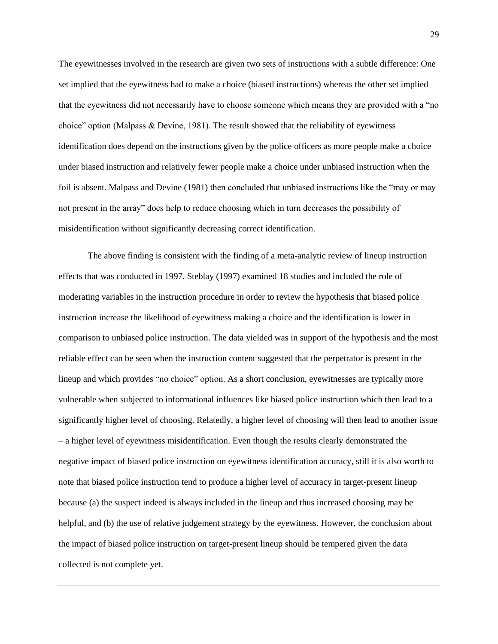The eyewitnesses involved in the research are given two sets of instructions with a subtle difference: One set implied that the eyewitness had to make a choice (biased instructions) whereas the other set implied that the eyewitness did not necessarily have to choose someone which means they are provided with a "no choice" option (Malpass & Devine, 1981). The result showed that the reliability of eyewitness identification does depend on the instructions given by the police officers as more people make a choice under biased instruction and relatively fewer people make a choice under unbiased instruction when the foil is absent. Malpass and Devine (1981) then concluded that unbiased instructions like the "may or may not present in the array" does help to reduce choosing which in turn decreases the possibility of misidentification without significantly decreasing correct identification.

The above finding is consistent with the finding of a meta-analytic review of lineup instruction effects that was conducted in 1997. Steblay (1997) examined 18 studies and included the role of moderating variables in the instruction procedure in order to review the hypothesis that biased police instruction increase the likelihood of eyewitness making a choice and the identification is lower in comparison to unbiased police instruction. The data yielded was in support of the hypothesis and the most reliable effect can be seen when the instruction content suggested that the perpetrator is present in the lineup and which provides "no choice" option. As a short conclusion, eyewitnesses are typically more vulnerable when subjected to informational influences like biased police instruction which then lead to a significantly higher level of choosing. Relatedly, a higher level of choosing will then lead to another issue – a higher level of eyewitness misidentification. Even though the results clearly demonstrated the negative impact of biased police instruction on eyewitness identification accuracy, still it is also worth to note that biased police instruction tend to produce a higher level of accuracy in target-present lineup because (a) the suspect indeed is always included in the lineup and thus increased choosing may be helpful, and (b) the use of relative judgement strategy by the eyewitness. However, the conclusion about the impact of biased police instruction on target-present lineup should be tempered given the data collected is not complete yet.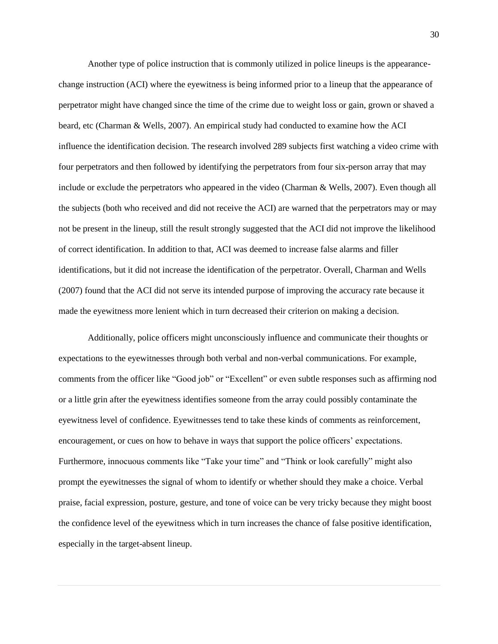Another type of police instruction that is commonly utilized in police lineups is the appearancechange instruction (ACI) where the eyewitness is being informed prior to a lineup that the appearance of perpetrator might have changed since the time of the crime due to weight loss or gain, grown or shaved a beard, etc (Charman & Wells, 2007). An empirical study had conducted to examine how the ACI influence the identification decision. The research involved 289 subjects first watching a video crime with four perpetrators and then followed by identifying the perpetrators from four six-person array that may include or exclude the perpetrators who appeared in the video (Charman & Wells, 2007). Even though all the subjects (both who received and did not receive the ACI) are warned that the perpetrators may or may not be present in the lineup, still the result strongly suggested that the ACI did not improve the likelihood of correct identification. In addition to that, ACI was deemed to increase false alarms and filler identifications, but it did not increase the identification of the perpetrator. Overall, Charman and Wells (2007) found that the ACI did not serve its intended purpose of improving the accuracy rate because it made the eyewitness more lenient which in turn decreased their criterion on making a decision.

Additionally, police officers might unconsciously influence and communicate their thoughts or expectations to the eyewitnesses through both verbal and non-verbal communications. For example, comments from the officer like "Good job" or "Excellent" or even subtle responses such as affirming nod or a little grin after the eyewitness identifies someone from the array could possibly contaminate the eyewitness level of confidence. Eyewitnesses tend to take these kinds of comments as reinforcement, encouragement, or cues on how to behave in ways that support the police officers' expectations. Furthermore, innocuous comments like "Take your time" and "Think or look carefully" might also prompt the eyewitnesses the signal of whom to identify or whether should they make a choice. Verbal praise, facial expression, posture, gesture, and tone of voice can be very tricky because they might boost the confidence level of the eyewitness which in turn increases the chance of false positive identification, especially in the target-absent lineup.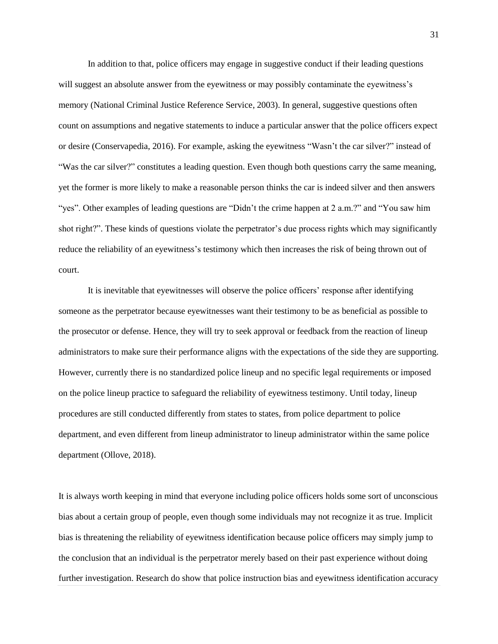In addition to that, police officers may engage in suggestive conduct if their leading questions will suggest an absolute answer from the eyewitness or may possibly contaminate the eyewitness's memory (National Criminal Justice Reference Service, 2003). In general, suggestive questions often count on assumptions and negative statements to induce a particular answer that the police officers expect or desire (Conservapedia, 2016). For example, asking the eyewitness "Wasn't the car silver?" instead of "Was the car silver?" constitutes a leading question. Even though both questions carry the same meaning, yet the former is more likely to make a reasonable person thinks the car is indeed silver and then answers "yes". Other examples of leading questions are "Didn't the crime happen at 2 a.m.?" and "You saw him shot right?". These kinds of questions violate the perpetrator's due process rights which may significantly reduce the reliability of an eyewitness's testimony which then increases the risk of being thrown out of court.

It is inevitable that eyewitnesses will observe the police officers' response after identifying someone as the perpetrator because eyewitnesses want their testimony to be as beneficial as possible to the prosecutor or defense. Hence, they will try to seek approval or feedback from the reaction of lineup administrators to make sure their performance aligns with the expectations of the side they are supporting. However, currently there is no standardized police lineup and no specific legal requirements or imposed on the police lineup practice to safeguard the reliability of eyewitness testimony. Until today, lineup procedures are still conducted differently from states to states, from police department to police department, and even different from lineup administrator to lineup administrator within the same police department (Ollove, 2018).

It is always worth keeping in mind that everyone including police officers holds some sort of unconscious bias about a certain group of people, even though some individuals may not recognize it as true. Implicit bias is threatening the reliability of eyewitness identification because police officers may simply jump to the conclusion that an individual is the perpetrator merely based on their past experience without doing further investigation. Research do show that police instruction bias and eyewitness identification accuracy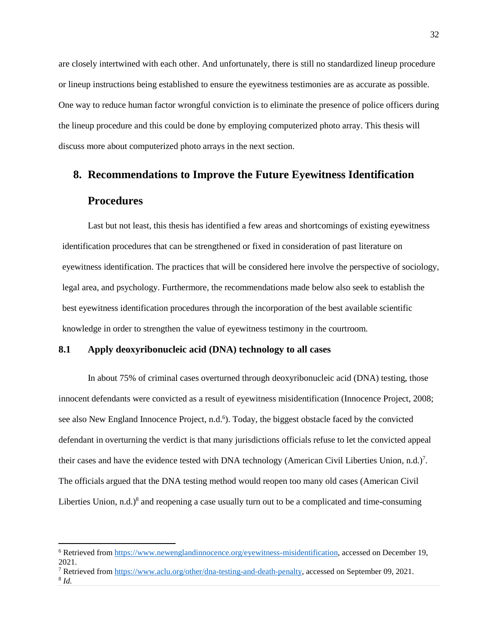are closely intertwined with each other. And unfortunately, there is still no standardized lineup procedure or lineup instructions being established to ensure the eyewitness testimonies are as accurate as possible. One way to reduce human factor wrongful conviction is to eliminate the presence of police officers during the lineup procedure and this could be done by employing computerized photo array. This thesis will discuss more about computerized photo arrays in the next section.

# **8. Recommendations to Improve the Future Eyewitness Identification Procedures**

Last but not least, this thesis has identified a few areas and shortcomings of existing eyewitness identification procedures that can be strengthened or fixed in consideration of past literature on eyewitness identification. The practices that will be considered here involve the perspective of sociology, legal area, and psychology. Furthermore, the recommendations made below also seek to establish the best eyewitness identification procedures through the incorporation of the best available scientific knowledge in order to strengthen the value of eyewitness testimony in the courtroom.

#### **8.1 Apply deoxyribonucleic acid (DNA) technology to all cases**

In about 75% of criminal cases overturned through deoxyribonucleic acid (DNA) testing, those innocent defendants were convicted as a result of eyewitness misidentification (Innocence Project, 2008; see also New England Innocence Project, n.d.<sup>6</sup>). Today, the biggest obstacle faced by the convicted defendant in overturning the verdict is that many jurisdictions officials refuse to let the convicted appeal their cases and have the evidence tested with DNA technology (American Civil Liberties Union, n.d.)<sup>7</sup>. The officials argued that the DNA testing method would reopen too many old cases (American Civil Liberties Union,  $n.d.$ )<sup>8</sup> and reopening a case usually turn out to be a complicated and time-consuming

<sup>7</sup> Retrieved from [https://www.aclu.org/other/dna-testing-and-death-penalty,](https://www.aclu.org/other/dna-testing-and-death-penalty) accessed on September 09, 2021.

 $\overline{a}$ 

<sup>6</sup> Retrieved from [https://www.newenglandinnocence.org/eyewitness-misidentification,](https://www.newenglandinnocence.org/eyewitness-misidentification) accessed on December 19, 2021.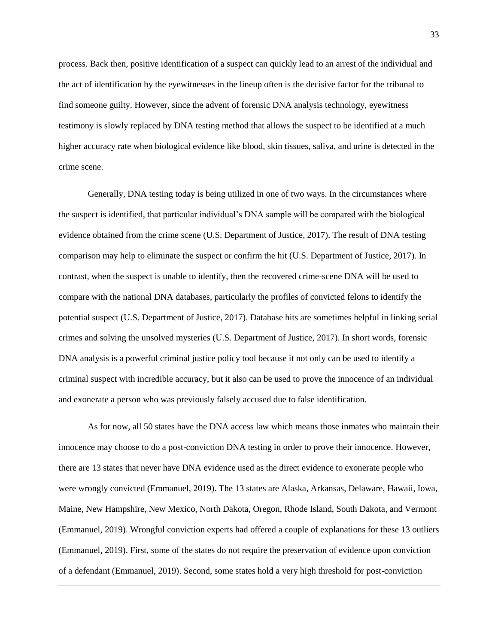process. Back then, positive identification of a suspect can quickly lead to an arrest of the individual and the act of identification by the eyewitnesses in the lineup often is the decisive factor for the tribunal to find someone guilty. However, since the advent of forensic DNA analysis technology, eyewitness testimony is slowly replaced by DNA testing method that allows the suspect to be identified at a much higher accuracy rate when biological evidence like blood, skin tissues, saliva, and urine is detected in the crime scene.

Generally, DNA testing today is being utilized in one of two ways. In the circumstances where the suspect is identified, that particular individual's DNA sample will be compared with the biological evidence obtained from the crime scene (U.S. Department of Justice, 2017). The result of DNA testing comparison may help to eliminate the suspect or confirm the hit (U.S. Department of Justice, 2017). In contrast, when the suspect is unable to identify, then the recovered crime-scene DNA will be used to compare with the national DNA databases, particularly the profiles of convicted felons to identify the potential suspect (U.S. Department of Justice, 2017). Database hits are sometimes helpful in linking serial crimes and solving the unsolved mysteries (U.S. Department of Justice, 2017). In short words, forensic DNA analysis is a powerful criminal justice policy tool because it not only can be used to identify a criminal suspect with incredible accuracy, but it also can be used to prove the innocence of an individual and exonerate a person who was previously falsely accused due to false identification.

As for now, all 50 states have the DNA access law which means those inmates who maintain their innocence may choose to do a post-conviction DNA testing in order to prove their innocence. However, there are 13 states that never have DNA evidence used as the direct evidence to exonerate people who were wrongly convicted (Emmanuel, 2019). The 13 states are Alaska, Arkansas, Delaware, Hawaii, Iowa, Maine, New Hampshire, New Mexico, North Dakota, Oregon, Rhode Island, South Dakota, and Vermont (Emmanuel, 2019). Wrongful conviction experts had offered a couple of explanations for these 13 outliers (Emmanuel, 2019). First, some of the states do not require the preservation of evidence upon conviction of a defendant (Emmanuel, 2019). Second, some states hold a very high threshold for post-conviction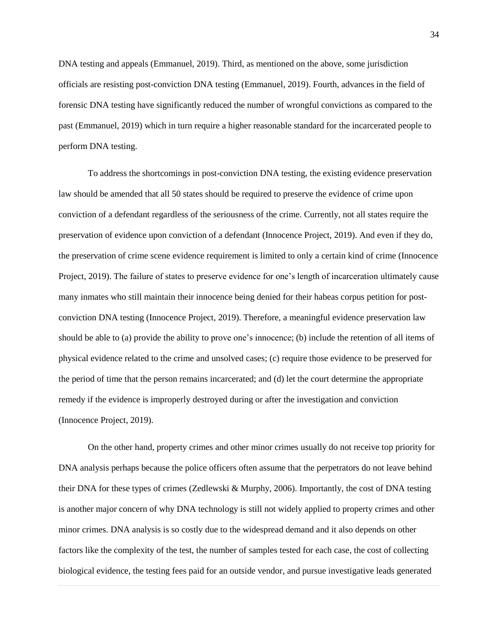DNA testing and appeals (Emmanuel, 2019). Third, as mentioned on the above, some jurisdiction officials are resisting post-conviction DNA testing (Emmanuel, 2019). Fourth, advances in the field of forensic DNA testing have significantly reduced the number of wrongful convictions as compared to the past (Emmanuel, 2019) which in turn require a higher reasonable standard for the incarcerated people to perform DNA testing.

To address the shortcomings in post-conviction DNA testing, the existing evidence preservation law should be amended that all 50 states should be required to preserve the evidence of crime upon conviction of a defendant regardless of the seriousness of the crime. Currently, not all states require the preservation of evidence upon conviction of a defendant (Innocence Project, 2019). And even if they do, the preservation of crime scene evidence requirement is limited to only a certain kind of crime (Innocence Project, 2019). The failure of states to preserve evidence for one's length of incarceration ultimately cause many inmates who still maintain their innocence being denied for their habeas corpus petition for postconviction DNA testing (Innocence Project, 2019). Therefore, a meaningful evidence preservation law should be able to (a) provide the ability to prove one's innocence; (b) include the retention of all items of physical evidence related to the crime and unsolved cases; (c) require those evidence to be preserved for the period of time that the person remains incarcerated; and (d) let the court determine the appropriate remedy if the evidence is improperly destroyed during or after the investigation and conviction (Innocence Project, 2019).

On the other hand, property crimes and other minor crimes usually do not receive top priority for DNA analysis perhaps because the police officers often assume that the perpetrators do not leave behind their DNA for these types of crimes (Zedlewski & Murphy, 2006). Importantly, the cost of DNA testing is another major concern of why DNA technology is still not widely applied to property crimes and other minor crimes. DNA analysis is so costly due to the widespread demand and it also depends on other factors like the complexity of the test, the number of samples tested for each case, the cost of collecting biological evidence, the testing fees paid for an outside vendor, and pursue investigative leads generated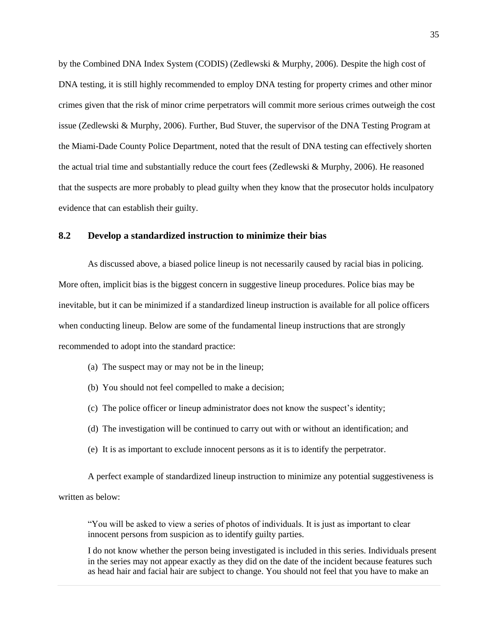by the Combined DNA Index System (CODIS) (Zedlewski & Murphy, 2006). Despite the high cost of DNA testing, it is still highly recommended to employ DNA testing for property crimes and other minor crimes given that the risk of minor crime perpetrators will commit more serious crimes outweigh the cost issue (Zedlewski & Murphy, 2006). Further, Bud Stuver, the supervisor of the DNA Testing Program at the Miami-Dade County Police Department, noted that the result of DNA testing can effectively shorten the actual trial time and substantially reduce the court fees (Zedlewski  $& Murphy, 2006$ ). He reasoned that the suspects are more probably to plead guilty when they know that the prosecutor holds inculpatory evidence that can establish their guilty.

#### **8.2 Develop a standardized instruction to minimize their bias**

As discussed above, a biased police lineup is not necessarily caused by racial bias in policing. More often, implicit bias is the biggest concern in suggestive lineup procedures. Police bias may be inevitable, but it can be minimized if a standardized lineup instruction is available for all police officers when conducting lineup. Below are some of the fundamental lineup instructions that are strongly recommended to adopt into the standard practice:

- (a) The suspect may or may not be in the lineup;
- (b) You should not feel compelled to make a decision;
- (c) The police officer or lineup administrator does not know the suspect's identity;
- (d) The investigation will be continued to carry out with or without an identification; and
- (e) It is as important to exclude innocent persons as it is to identify the perpetrator.

A perfect example of standardized lineup instruction to minimize any potential suggestiveness is written as below<sup>.</sup>

"You will be asked to view a series of photos of individuals. It is just as important to clear innocent persons from suspicion as to identify guilty parties.

I do not know whether the person being investigated is included in this series. Individuals present in the series may not appear exactly as they did on the date of the incident because features such as head hair and facial hair are subject to change. You should not feel that you have to make an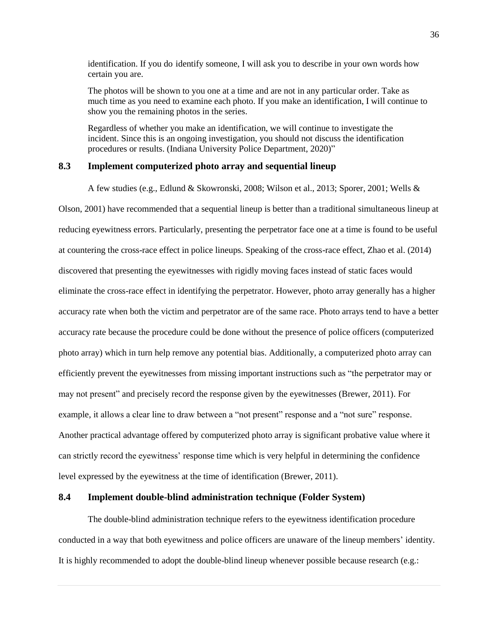identification. If you do identify someone, I will ask you to describe in your own words how certain you are.

The photos will be shown to you one at a time and are not in any particular order. Take as much time as you need to examine each photo. If you make an identification, I will continue to show you the remaining photos in the series.

Regardless of whether you make an identification, we will continue to investigate the incident. Since this is an ongoing investigation, you should not discuss the identification procedures or results. (Indiana University Police Department, 2020)"

#### **8.3 Implement computerized photo array and sequential lineup**

A few studies (e.g., Edlund & Skowronski, 2008; Wilson et al., 2013; Sporer, 2001; Wells &

Olson, 2001) have recommended that a sequential lineup is better than a traditional simultaneous lineup at reducing eyewitness errors. Particularly, presenting the perpetrator face one at a time is found to be useful at countering the cross-race effect in police lineups. Speaking of the cross-race effect, Zhao et al. (2014) discovered that presenting the eyewitnesses with rigidly moving faces instead of static faces would eliminate the cross-race effect in identifying the perpetrator. However, photo array generally has a higher accuracy rate when both the victim and perpetrator are of the same race. Photo arrays tend to have a better accuracy rate because the procedure could be done without the presence of police officers (computerized photo array) which in turn help remove any potential bias. Additionally, a computerized photo array can efficiently prevent the eyewitnesses from missing important instructions such as "the perpetrator may or may not present" and precisely record the response given by the eyewitnesses (Brewer, 2011). For example, it allows a clear line to draw between a "not present" response and a "not sure" response. Another practical advantage offered by computerized photo array is significant probative value where it can strictly record the eyewitness' response time which is very helpful in determining the confidence level expressed by the eyewitness at the time of identification (Brewer, 2011).

#### **8.4 Implement double-blind administration technique (Folder System)**

The double-blind administration technique refers to the eyewitness identification procedure conducted in a way that both eyewitness and police officers are unaware of the lineup members' identity. It is highly recommended to adopt the double-blind lineup whenever possible because research (e.g.: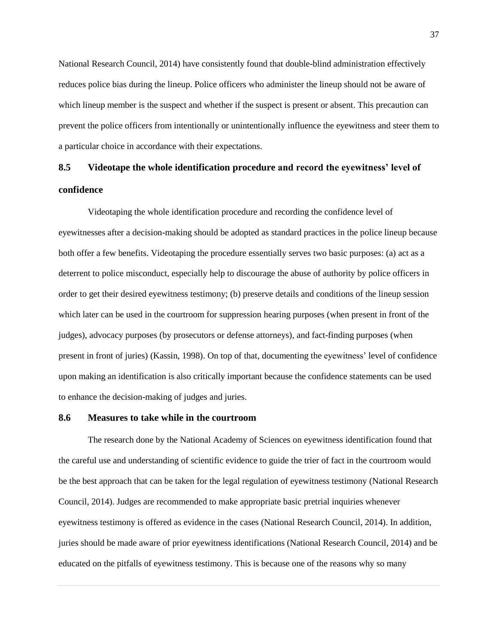National Research Council, 2014) have consistently found that double-blind administration effectively reduces police bias during the lineup. Police officers who administer the lineup should not be aware of which lineup member is the suspect and whether if the suspect is present or absent. This precaution can prevent the police officers from intentionally or unintentionally influence the eyewitness and steer them to a particular choice in accordance with their expectations.

# **8.5 Videotape the whole identification procedure and record the eyewitness' level of confidence**

Videotaping the whole identification procedure and recording the confidence level of eyewitnesses after a decision-making should be adopted as standard practices in the police lineup because both offer a few benefits. Videotaping the procedure essentially serves two basic purposes: (a) act as a deterrent to police misconduct, especially help to discourage the abuse of authority by police officers in order to get their desired eyewitness testimony; (b) preserve details and conditions of the lineup session which later can be used in the courtroom for suppression hearing purposes (when present in front of the judges), advocacy purposes (by prosecutors or defense attorneys), and fact-finding purposes (when present in front of juries) (Kassin, 1998). On top of that, documenting the eyewitness' level of confidence upon making an identification is also critically important because the confidence statements can be used to enhance the decision-making of judges and juries.

#### **8.6 Measures to take while in the courtroom**

The research done by the National Academy of Sciences on eyewitness identification found that the careful use and understanding of scientific evidence to guide the trier of fact in the courtroom would be the best approach that can be taken for the legal regulation of eyewitness testimony (National Research Council, 2014). Judges are recommended to make appropriate basic pretrial inquiries whenever eyewitness testimony is offered as evidence in the cases (National Research Council, 2014). In addition, juries should be made aware of prior eyewitness identifications (National Research Council, 2014) and be educated on the pitfalls of eyewitness testimony. This is because one of the reasons why so many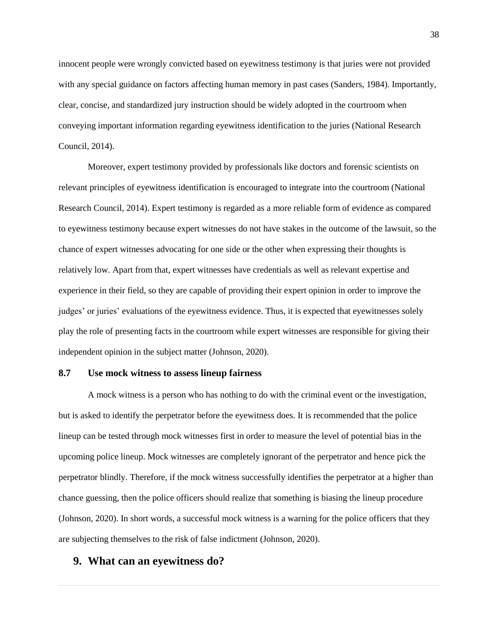innocent people were wrongly convicted based on eyewitness testimony is that juries were not provided with any special guidance on factors affecting human memory in past cases (Sanders, 1984). Importantly, clear, concise, and standardized jury instruction should be widely adopted in the courtroom when conveying important information regarding eyewitness identification to the juries (National Research Council, 2014).

Moreover, expert testimony provided by professionals like doctors and forensic scientists on relevant principles of eyewitness identification is encouraged to integrate into the courtroom (National Research Council, 2014). Expert testimony is regarded as a more reliable form of evidence as compared to eyewitness testimony because expert witnesses do not have stakes in the outcome of the lawsuit, so the chance of expert witnesses advocating for one side or the other when expressing their thoughts is relatively low. Apart from that, expert witnesses have credentials as well as relevant expertise and experience in their field, so they are capable of providing their expert opinion in order to improve the judges' or juries' evaluations of the eyewitness evidence. Thus, it is expected that eyewitnesses solely play the role of presenting facts in the courtroom while expert witnesses are responsible for giving their independent opinion in the subject matter (Johnson, 2020).

#### **8.7 Use mock witness to assess lineup fairness**

A mock witness is a person who has nothing to do with the criminal event or the investigation, but is asked to identify the perpetrator before the eyewitness does. It is recommended that the police lineup can be tested through mock witnesses first in order to measure the level of potential bias in the upcoming police lineup. Mock witnesses are completely ignorant of the perpetrator and hence pick the perpetrator blindly. Therefore, if the mock witness successfully identifies the perpetrator at a higher than chance guessing, then the police officers should realize that something is biasing the lineup procedure (Johnson, 2020). In short words, a successful mock witness is a warning for the police officers that they are subjecting themselves to the risk of false indictment (Johnson, 2020).

#### **9. What can an eyewitness do?**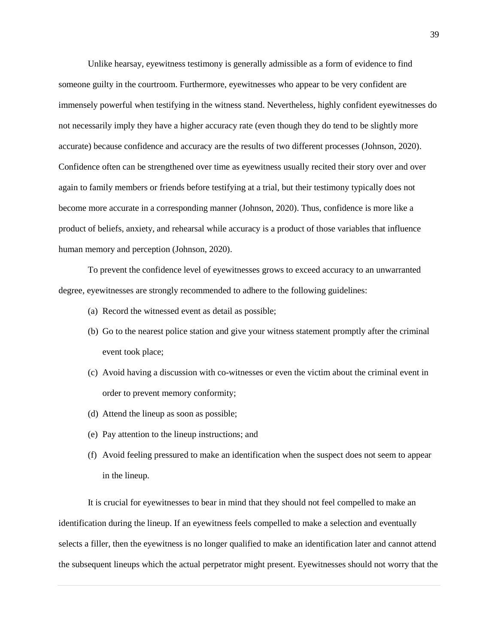Unlike hearsay, eyewitness testimony is generally admissible as a form of evidence to find someone guilty in the courtroom. Furthermore, eyewitnesses who appear to be very confident are immensely powerful when testifying in the witness stand. Nevertheless, highly confident eyewitnesses do not necessarily imply they have a higher accuracy rate (even though they do tend to be slightly more accurate) because confidence and accuracy are the results of two different processes (Johnson, 2020). Confidence often can be strengthened over time as eyewitness usually recited their story over and over again to family members or friends before testifying at a trial, but their testimony typically does not become more accurate in a corresponding manner (Johnson, 2020). Thus, confidence is more like a product of beliefs, anxiety, and rehearsal while accuracy is a product of those variables that influence human memory and perception (Johnson, 2020).

To prevent the confidence level of eyewitnesses grows to exceed accuracy to an unwarranted degree, eyewitnesses are strongly recommended to adhere to the following guidelines:

- (a) Record the witnessed event as detail as possible;
- (b) Go to the nearest police station and give your witness statement promptly after the criminal event took place;
- (c) Avoid having a discussion with co-witnesses or even the victim about the criminal event in order to prevent memory conformity;
- (d) Attend the lineup as soon as possible;
- (e) Pay attention to the lineup instructions; and
- (f) Avoid feeling pressured to make an identification when the suspect does not seem to appear in the lineup.

It is crucial for eyewitnesses to bear in mind that they should not feel compelled to make an identification during the lineup. If an eyewitness feels compelled to make a selection and eventually selects a filler, then the eyewitness is no longer qualified to make an identification later and cannot attend the subsequent lineups which the actual perpetrator might present. Eyewitnesses should not worry that the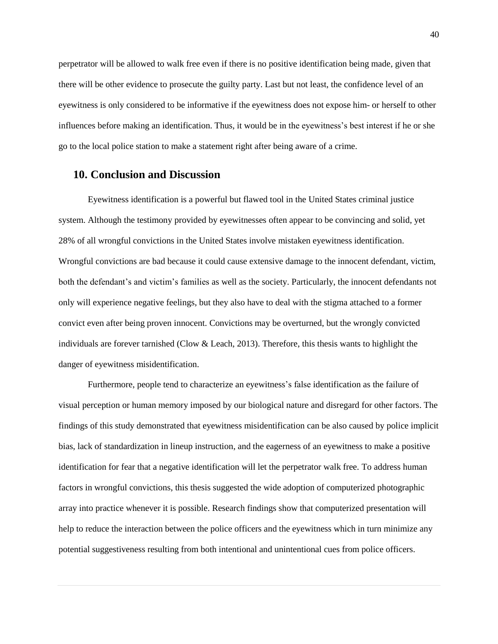perpetrator will be allowed to walk free even if there is no positive identification being made, given that there will be other evidence to prosecute the guilty party. Last but not least, the confidence level of an eyewitness is only considered to be informative if the eyewitness does not expose him- or herself to other influences before making an identification. Thus, it would be in the eyewitness's best interest if he or she go to the local police station to make a statement right after being aware of a crime.

#### **10. Conclusion and Discussion**

Eyewitness identification is a powerful but flawed tool in the United States criminal justice system. Although the testimony provided by eyewitnesses often appear to be convincing and solid, yet 28% of all wrongful convictions in the United States involve mistaken eyewitness identification. Wrongful convictions are bad because it could cause extensive damage to the innocent defendant, victim, both the defendant's and victim's families as well as the society. Particularly, the innocent defendants not only will experience negative feelings, but they also have to deal with the stigma attached to a former convict even after being proven innocent. Convictions may be overturned, but the wrongly convicted individuals are forever tarnished (Clow & Leach, 2013). Therefore, this thesis wants to highlight the danger of eyewitness misidentification.

Furthermore, people tend to characterize an eyewitness's false identification as the failure of visual perception or human memory imposed by our biological nature and disregard for other factors. The findings of this study demonstrated that eyewitness misidentification can be also caused by police implicit bias, lack of standardization in lineup instruction, and the eagerness of an eyewitness to make a positive identification for fear that a negative identification will let the perpetrator walk free. To address human factors in wrongful convictions, this thesis suggested the wide adoption of computerized photographic array into practice whenever it is possible. Research findings show that computerized presentation will help to reduce the interaction between the police officers and the eyewitness which in turn minimize any potential suggestiveness resulting from both intentional and unintentional cues from police officers.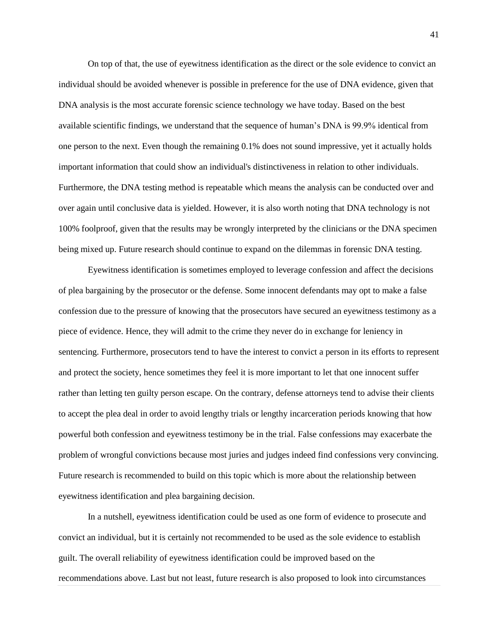On top of that, the use of eyewitness identification as the direct or the sole evidence to convict an individual should be avoided whenever is possible in preference for the use of DNA evidence, given that DNA analysis is the most accurate forensic science technology we have today. Based on the best available scientific findings, we understand that the sequence of human's DNA is 99.9% identical from one person to the next. Even though the remaining 0.1% does not sound impressive, yet it actually holds important information that could show an individual's distinctiveness in relation to other individuals. Furthermore, the DNA testing method is repeatable which means the analysis can be conducted over and over again until conclusive data is yielded. However, it is also worth noting that DNA technology is not 100% foolproof, given that the results may be wrongly interpreted by the clinicians or the DNA specimen being mixed up. Future research should continue to expand on the dilemmas in forensic DNA testing.

Eyewitness identification is sometimes employed to leverage confession and affect the decisions of plea bargaining by the prosecutor or the defense. Some innocent defendants may opt to make a false confession due to the pressure of knowing that the prosecutors have secured an eyewitness testimony as a piece of evidence. Hence, they will admit to the crime they never do in exchange for leniency in sentencing. Furthermore, prosecutors tend to have the interest to convict a person in its efforts to represent and protect the society, hence sometimes they feel it is more important to let that one innocent suffer rather than letting ten guilty person escape. On the contrary, defense attorneys tend to advise their clients to accept the plea deal in order to avoid lengthy trials or lengthy incarceration periods knowing that how powerful both confession and eyewitness testimony be in the trial. False confessions may exacerbate the problem of wrongful convictions because most juries and judges indeed find confessions very convincing. Future research is recommended to build on this topic which is more about the relationship between eyewitness identification and plea bargaining decision.

In a nutshell, eyewitness identification could be used as one form of evidence to prosecute and convict an individual, but it is certainly not recommended to be used as the sole evidence to establish guilt. The overall reliability of eyewitness identification could be improved based on the recommendations above. Last but not least, future research is also proposed to look into circumstances

41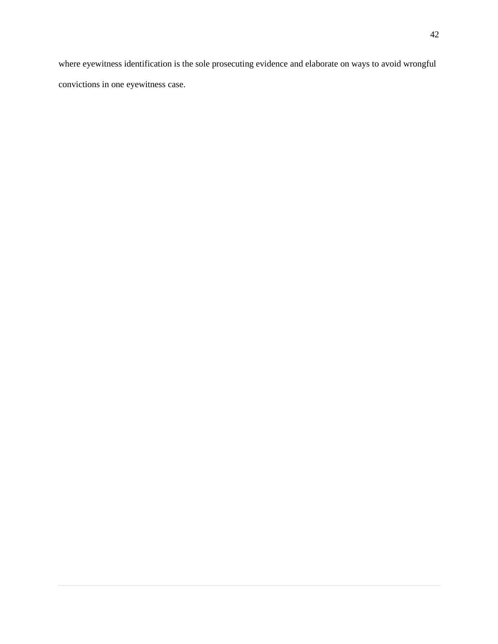where eyewitness identification is the sole prosecuting evidence and elaborate on ways to avoid wrongful convictions in one eyewitness case.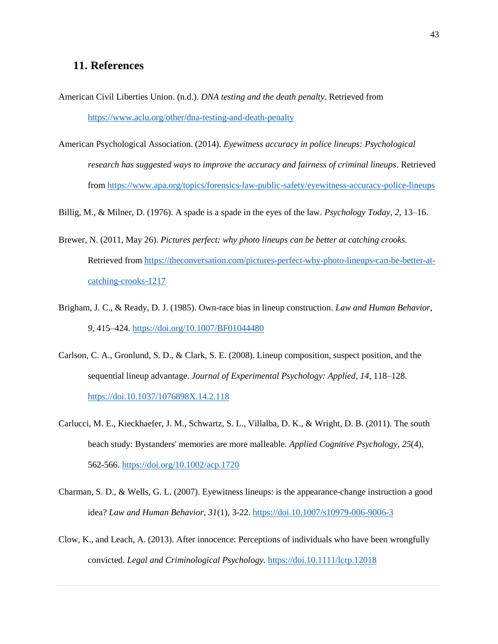## **11. References**

- American Civil Liberties Union. (n.d.). *DNA testing and the death penalty*. Retrieved from <https://www.aclu.org/other/dna-testing-and-death-penalty>
- American Psychological Association. (2014). *Eyewitness accuracy in police lineups: Psychological research has suggested ways to improve the accuracy and fairness of criminal lineups*. Retrieved from<https://www.apa.org/topics/forensics-law-public-safety/eyewitness-accuracy-police-lineups>

Billig, M., & Milner, D. (1976). A spade is a spade in the eyes of the law. *Psychology Today*, *2*, 13–16.

- Brewer, N. (2011, May 26). *Pictures perfect: why photo lineups can be better at catching crooks.* Retrieved fro[m https://theconversation.com/pictures-perfect-why-photo-lineups-can-be-better-at](https://theconversation.com/pictures-perfect-why-photo-lineups-can-be-better-at-catching-crooks-1217)[catching-crooks-1217](https://theconversation.com/pictures-perfect-why-photo-lineups-can-be-better-at-catching-crooks-1217)
- Brigham, J. C., & Ready, D. J. (1985). Own-race bias in lineup construction. *Law and Human Behavior*, *9*, 415–424.<https://doi.org/10.1007/BF01044480>
- Carlson, C. A., Gronlund, S. D., & Clark, S. E. (2008). Lineup composition, suspect position, and the sequential lineup advantage. *Journal of Experimental Psychology: Applied*, *14*, 118–128. <https://doi.10.1037/1076898X.14.2.118>
- Carlucci, M. E., Kieckhaefer, J. M., Schwartz, S. L., Villalba, D. K., & Wright, D. B. (2011). The south beach study: Bystanders' memories are more malleable. *Applied Cognitive Psychology, 25*(4), 562-566.<https://doi.org/10.1002/acp.1720>
- Charman, S. D., & Wells, G. L. (2007). Eyewitness lineups: is the appearance-change instruction a good idea? *Law and Human Behavior*, *31*(1), 3-22.<https://doi.10.1007/s10979-006-9006-3>
- Clow, K., and Leach, A. (2013). After innocence: Perceptions of individuals who have been wrongfully convicted. *Legal and Criminological Psychology.* <https://doi.10.1111/lcrp.12018>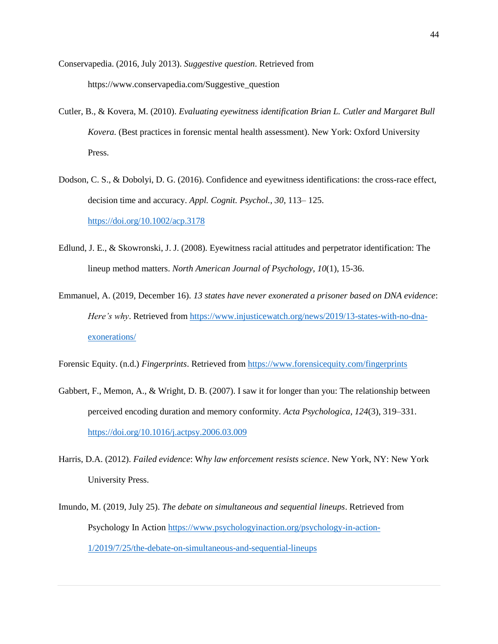- Conservapedia. (2016, July 2013). *Suggestive question*. Retrieved from https://www.conservapedia.com/Suggestive\_question
- Cutler, B., & Kovera, M. (2010). *Evaluating eyewitness identification Brian L. Cutler and Margaret Bull Kovera.* (Best practices in forensic mental health assessment). New York: Oxford University Press.
- Dodson, C. S., & Dobolyi, D. G. (2016). Confidence and eyewitness identifications: the cross-race effect, decision time and accuracy. *Appl. Cognit. Psychol.*, *30*, 113– 125. <https://doi.org/10.1002/acp.3178>
- Edlund, J. E., & Skowronski, J. J. (2008). Eyewitness racial attitudes and perpetrator identification: The lineup method matters. *North American Journal of Psychology*, *10*(1), 15-36.
- Emmanuel, A. (2019, December 16). *13 states have never exonerated a prisoner based on DNA evidence*: *Here's why*. Retrieved from [https://www.injusticewatch.org/news/2019/13-states-with-no-dna](https://www.injusticewatch.org/news/2019/13-states-with-no-dna-exonerations/)[exonerations/](https://www.injusticewatch.org/news/2019/13-states-with-no-dna-exonerations/)

Forensic Equity. (n.d.) *Fingerprints*. Retrieved from<https://www.forensicequity.com/fingerprints>

- Gabbert, F., Memon, A., & Wright, D. B. (2007). I saw it for longer than you: The relationship between perceived encoding duration and memory conformity. *Acta Psychologica*, *124*(3), 319–331. <https://doi.org/10.1016/j.actpsy.2006.03.009>
- Harris, D.A. (2012). *Failed evidence*: W*hy law enforcement resists science*. New York, NY: New York University Press.
- Imundo, M. (2019, July 25). *The debate on simultaneous and sequential lineups*. Retrieved from Psychology In Action [https://www.psychologyinaction.org/psychology-in-action-](https://www.psychologyinaction.org/psychology-in-action-1/2019/7/25/the-debate-on-simultaneous-and-sequential-lineups)[1/2019/7/25/the-debate-on-simultaneous-and-sequential-lineups](https://www.psychologyinaction.org/psychology-in-action-1/2019/7/25/the-debate-on-simultaneous-and-sequential-lineups)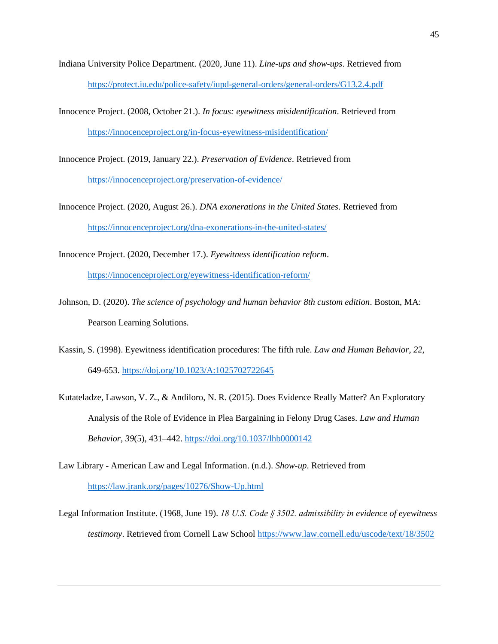- Indiana University Police Department. (2020, June 11). *Line-ups and show-ups*. Retrieved from <https://protect.iu.edu/police-safety/iupd-general-orders/general-orders/G13.2.4.pdf>
- Innocence Project. (2008, October 21.). *In focus: eyewitness misidentification*. Retrieved from <https://innocenceproject.org/in-focus-eyewitness-misidentification/>

Innocence Project. (2019, January 22.). *Preservation of Evidence*. Retrieved from <https://innocenceproject.org/preservation-of-evidence/>

- Innocence Project. (2020, August 26.). *DNA exonerations in the United States*. Retrieved from <https://innocenceproject.org/dna-exonerations-in-the-united-states/>
- Innocence Project. (2020, December 17.). *Eyewitness identification reform*. <https://innocenceproject.org/eyewitness-identification-reform/>
- Johnson, D. (2020). *The science of psychology and human behavior 8th custom edition*. Boston, MA: Pearson Learning Solutions.
- Kassin, S. (1998). Eyewitness identification procedures: The fifth rule. *Law and Human Behavior*, *22*, 649-653.<https://doj.org/10.1023/A:1025702722645>
- Kutateladze, Lawson, V. Z., & Andiloro, N. R. (2015). Does Evidence Really Matter? An Exploratory Analysis of the Role of Evidence in Plea Bargaining in Felony Drug Cases. *Law and Human Behavior*, *39*(5), 431–442.<https://doi.org/10.1037/lhb0000142>
- Law Library American Law and Legal Information. (n.d.). *Show-up*. Retrieved from <https://law.jrank.org/pages/10276/Show-Up.html>
- Legal Information Institute. (1968, June 19). *18 U.S. Code § 3502. admissibility in evidence of eyewitness testimony*. Retrieved from Cornell Law School<https://www.law.cornell.edu/uscode/text/18/3502>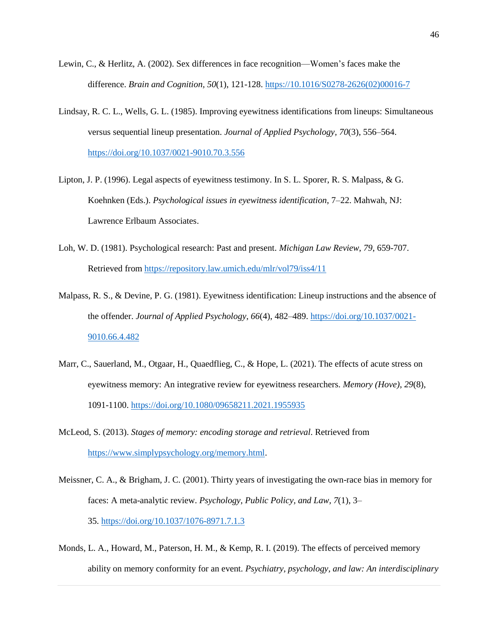- Lewin, C., & Herlitz, A. (2002). Sex differences in face recognition—Women's faces make the difference. *Brain and Cognition, 50*(1), 121-128. [https://10.1016/S0278-2626\(02\)00016-7](https://10.0.3.248/S0278-2626(02)00016-7)
- Lindsay, R. C. L., Wells, G. L. (1985). Improving eyewitness identifications from lineups: Simultaneous versus sequential lineup presentation. *Journal of Applied Psychology, 70*(3), 556–564. <https://doi.org/10.1037/0021-9010.70.3.556>
- Lipton, J. P. (1996). Legal aspects of eyewitness testimony. In S. L. Sporer, R. S. Malpass, & G. Koehnken (Eds.). *Psychological issues in eyewitness identification*, 7–22. Mahwah, NJ: Lawrence Erlbaum Associates.
- Loh, W. D. (1981). Psychological research: Past and present. *Michigan Law Review*, *79*, 659-707. Retrieved fro[m https://repository.law.umich.edu/mlr/vol79/iss4/11](https://repository.law.umich.edu/mlr/vol79/iss4/11)
- Malpass, R. S., & Devine, P. G. (1981). Eyewitness identification: Lineup instructions and the absence of the offender. *Journal of Applied Psychology*, *66*(4), 482–489[. https://doi.org/10.1037/0021-](https://doi.org/10.1037/0021-9010.66.4.482) [9010.66.4.482](https://doi.org/10.1037/0021-9010.66.4.482)
- Marr, C., Sauerland, M., Otgaar, H., Quaedflieg, C., & Hope, L. (2021). The effects of acute stress on eyewitness memory: An integrative review for eyewitness researchers. *Memory (Hove)*, *29*(8), 1091-1100.<https://doi.org/10.1080/09658211.2021.1955935>
- McLeod, S. (2013). *Stages of memory: encoding storage and retrieval*. Retrieved from [https://www.simplypsychology.org/memory.html.](https://www.simplypsychology.org/memory.html)
- Meissner, C. A., & Brigham, J. C. (2001). Thirty years of investigating the own-race bias in memory for faces: A meta-analytic review. *Psychology, Public Policy, and Law, 7*(1), 3– 35. [https://doi.org/10.1037/1076-8971.7.1.3](https://psycnet.apa.org/doi/10.1037/1076-8971.7.1.3)
- Monds, L. A., Howard, M., Paterson, H. M., & Kemp, R. I. (2019). The effects of perceived memory ability on memory conformity for an event. *Psychiatry, psychology, and law: An interdisciplinary*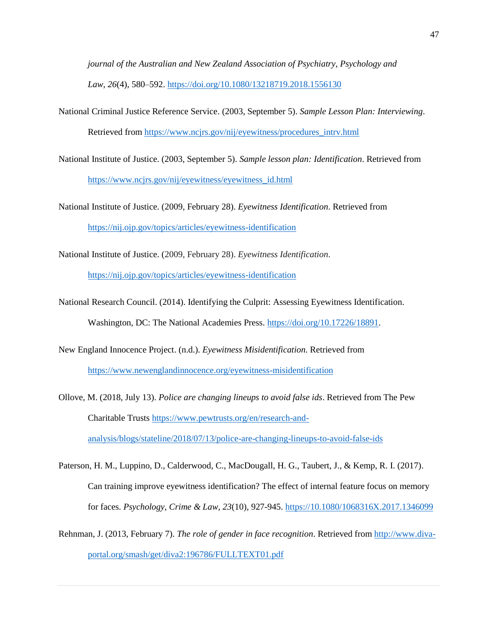*journal of the Australian and New Zealand Association of Psychiatry, Psychology and Law*, *26*(4), 580–592.<https://doi.org/10.1080/13218719.2018.1556130>

- National Criminal Justice Reference Service. (2003, September 5). *Sample Lesson Plan: Interviewing*. Retrieved fro[m https://www.ncjrs.gov/nij/eyewitness/procedures\\_intrv.html](https://www.ncjrs.gov/nij/eyewitness/procedures_intrv.html)
- National Institute of Justice. (2003, September 5). *Sample lesson plan: Identification*. Retrieved from [https://www.ncjrs.gov/nij/eyewitness/eyewitness\\_id.html](https://www.ncjrs.gov/nij/eyewitness/eyewitness_id.html)

National Institute of Justice. (2009, February 28). *Eyewitness Identification*. Retrieved from <https://nij.ojp.gov/topics/articles/eyewitness-identification>

National Institute of Justice. (2009, February 28). *Eyewitness Identification*.

<https://nij.ojp.gov/topics/articles/eyewitness-identification>

- National Research Council. (2014). Identifying the Culprit: Assessing Eyewitness Identification. Washington, DC: The National Academies Press. [https://doi.org/10.17226/18891.](https://doi.org/10.17226/18891)
- New England Innocence Project. (n.d.). *Eyewitness Misidentification*. Retrieved from <https://www.newenglandinnocence.org/eyewitness-misidentification>
- Ollove, M. (2018, July 13). *Police are changing lineups to avoid false ids*. Retrieved from The Pew Charitable Trusts [https://www.pewtrusts.org/en/research-and](https://www.pewtrusts.org/en/research-and-analysis/blogs/stateline/2018/07/13/police-are-changing-lineups-to-avoid-false-ids)[analysis/blogs/stateline/2018/07/13/police-are-changing-lineups-to-avoid-false-ids](https://www.pewtrusts.org/en/research-and-analysis/blogs/stateline/2018/07/13/police-are-changing-lineups-to-avoid-false-ids)
- Paterson, H. M., Luppino, D., Calderwood, C., MacDougall, H. G., Taubert, J., & Kemp, R. I. (2017). Can training improve eyewitness identification? The effect of internal feature focus on memory for faces. *Psychology, Crime & Law, 23*(10), 927-945. [https://10.1080/1068316X.2017.1346099](https://10.0.4.56/1068316X.2017.1346099)
- Rehnman, J. (2013, February 7). *The role of gender in face recognition*. Retrieved from [http://www.diva](http://www.diva-portal.org/smash/get/diva2:196786/FULLTEXT01.pdf)[portal.org/smash/get/diva2:196786/FULLTEXT01.pdf](http://www.diva-portal.org/smash/get/diva2:196786/FULLTEXT01.pdf)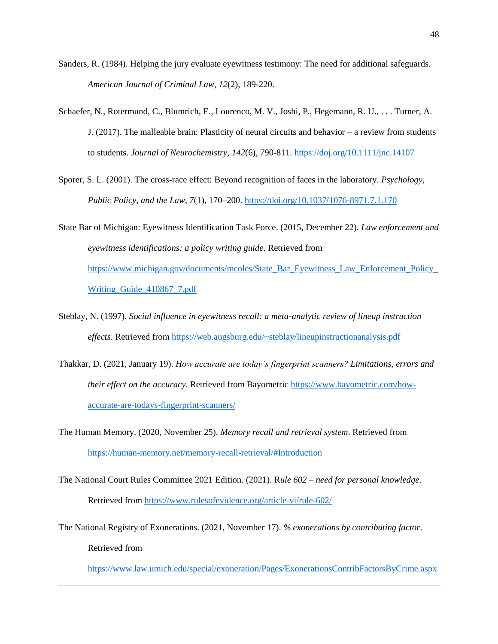- Sanders, R. (1984). Helping the jury evaluate eyewitness testimony: The need for additional safeguards. *American Journal of Criminal Law*, *12*(2), 189-220.
- Schaefer, N., Rotermund, C., Blumrich, E., Lourenco, M. V., Joshi, P., Hegemann, R. U., . . . Turner, A. J. (2017). The malleable brain: Plasticity of neural circuits and behavior – a review from students to students. *Journal of Neurochemistry, 142*(6), 790-811.<https://doj.org/10.1111/jnc.14107>
- Sporer, S. L. (2001). The cross-race effect: Beyond recognition of faces in the laboratory. *Psychology, Public Policy, and the Law*, *7*(1), 170–200. <https://doi.org/10.1037/1076-8971.7.1.170>
- State Bar of Michigan: Eyewitness Identification Task Force. (2015, December 22). *Law enforcement and eyewitness identifications: a policy writing guide*. Retrieved from [https://www.michigan.gov/documents/mcoles/State\\_Bar\\_Eyewitness\\_Law\\_Enforcement\\_Policy\\_](https://www.michigan.gov/documents/mcoles/State_Bar_Eyewitness_Law_Enforcement_Policy_Writing_Guide_410867_7.pdf) Writing Guide 410867 7.pdf
- Steblay, N. (1997). *Social influence in eyewitness recall: a meta-analytic review of lineup instruction effects*. Retrieved from<https://web.augsburg.edu/~steblay/lineupinstructionanalysis.pdf>
- Thakkar, D. (2021, January 19). *How accurate are today's fingerprint scanners? Limitations, errors and their effect on the accuracy*. Retrieved from Bayometric [https://www.bayometric.com/how](https://www.bayometric.com/how-accurate-are-todays-fingerprint-scanners/)[accurate-are-todays-fingerprint-scanners/](https://www.bayometric.com/how-accurate-are-todays-fingerprint-scanners/)
- The Human Memory. (2020, November 25). *Memory recall and retrieval system*. Retrieved from <https://human-memory.net/memory-recall-retrieval/#Introduction>
- The National Court Rules Committee 2021 Edition. (2021). R*ule 602 – need for personal knowledge*. Retrieved fro[m https://www.rulesofevidence.org/article-vi/rule-602/](https://www.rulesofevidence.org/article-vi/rule-602/)
- The National Registry of Exonerations. (2021, November 17). *% exonerations by contributing factor*. Retrieved from

<https://www.law.umich.edu/special/exoneration/Pages/ExonerationsContribFactorsByCrime.aspx>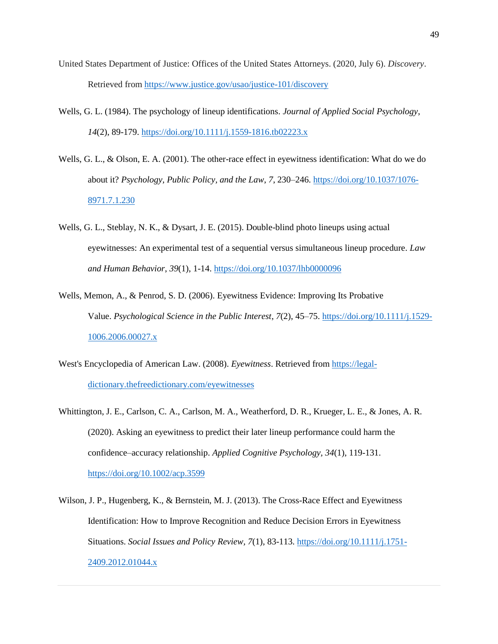- United States Department of Justice: Offices of the United States Attorneys. (2020, July 6). *Discovery*. Retrieved fro[m https://www.justice.gov/usao/justice-101/discovery](https://www.justice.gov/usao/justice-101/discovery)
- Wells, G. L. (1984). The psychology of lineup identifications. *Journal of Applied Social Psychology*, *14*(2), 89-179.<https://doi.org/10.1111/j.1559-1816.tb02223.x>
- Wells, G. L., & Olson, E. A. (2001). The other-race effect in eyewitness identification: What do we do about it? *Psychology, Public Policy, and the Law*, *7*, 230–246. [https://doi.org/10.1037/1076-](https://doi.org/10.1037/1076-8971.7.1.230) [8971.7.1.230](https://doi.org/10.1037/1076-8971.7.1.230)
- Wells, G. L., Steblay, N. K., & Dysart, J. E. (2015). Double-blind photo lineups using actual eyewitnesses: An experimental test of a sequential versus simultaneous lineup procedure. *Law and Human Behavior*, *39*(1), 1-14. <https://doi.org/10.1037/lhb0000096>
- Wells, Memon, A., & Penrod, S. D. (2006). Eyewitness Evidence: Improving Its Probative Value. *Psychological Science in the Public Interest*, *7*(2), 45–75. [https://doi.org/10.1111/j.1529-](https://doi.org/10.1111/j.1529-1006.2006.00027.x) [1006.2006.00027.x](https://doi.org/10.1111/j.1529-1006.2006.00027.x)
- West's Encyclopedia of American Law. (2008). *Eyewitness*. Retrieved from [https://legal](https://legal-dictionary.thefreedictionary.com/eyewitnesses)[dictionary.thefreedictionary.com/eyewitnesses](https://legal-dictionary.thefreedictionary.com/eyewitnesses)
- Whittington, J. E., Carlson, C. A., Carlson, M. A., Weatherford, D. R., Krueger, L. E., & Jones, A. R. (2020). Asking an eyewitness to predict their later lineup performance could harm the confidence–accuracy relationship. *Applied Cognitive Psychology, 34*(1), 119-131. <https://doi.org/10.1002/acp.3599>
- Wilson, J. P., Hugenberg, K., & Bernstein, M. J. (2013). The Cross-Race Effect and Eyewitness Identification: How to Improve Recognition and Reduce Decision Errors in Eyewitness Situations. *Social Issues and Policy Review, 7*(1), 83-113. [https://doi.org/10.1111/j.1751-](https://doi.org/10.1111/j.1751-2409.2012.01044.x) [2409.2012.01044.x](https://doi.org/10.1111/j.1751-2409.2012.01044.x)